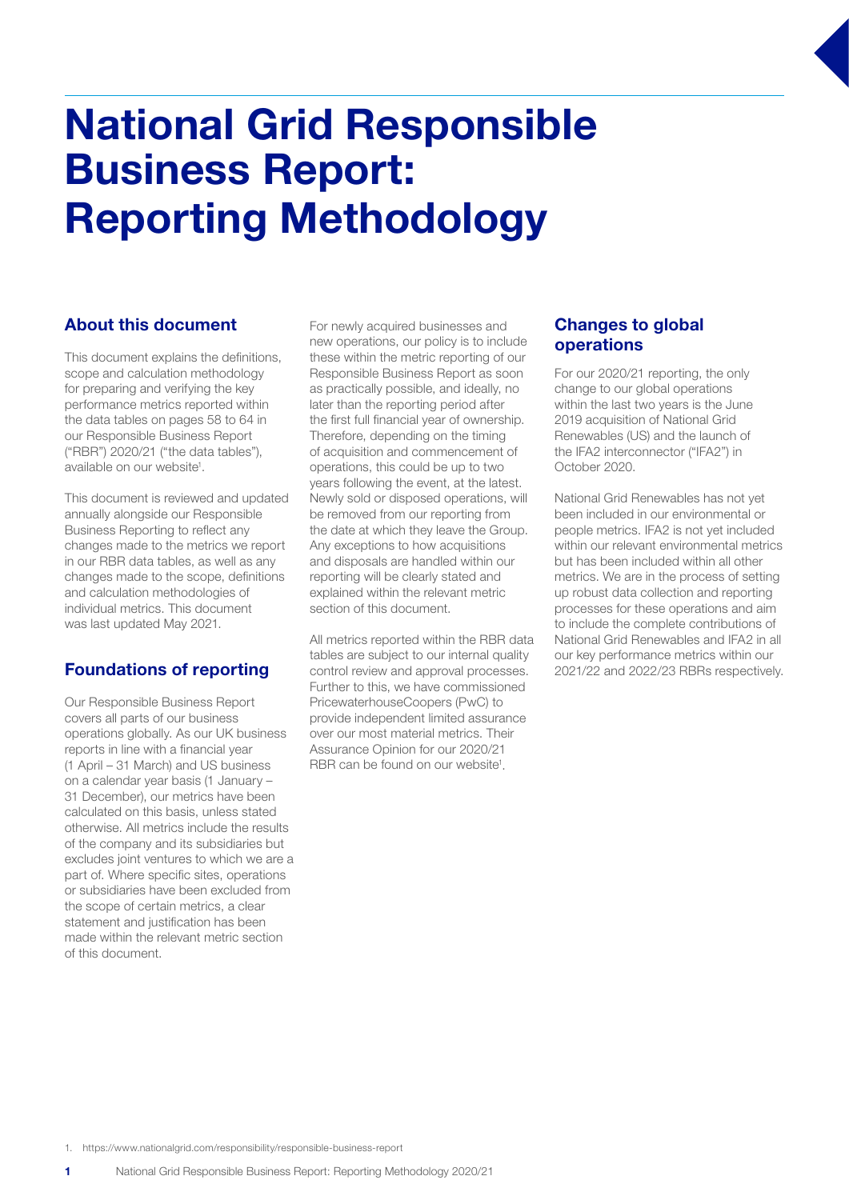# National Grid Responsible Business Report: Reporting Methodology

## About this document

This document explains the definitions, scope and calculation methodology for preparing and verifying the key performance metrics reported within the data tables on pages 58 to 64 in our Responsible Business Report ("RBR") 2020/21 ("the data tables"), available on our website<sup>1</sup>.

This document is reviewed and updated annually alongside our Responsible Business Reporting to reflect any changes made to the metrics we report in our RBR data tables, as well as any changes made to the scope, definitions and calculation methodologies of individual metrics. This document was last updated May 2021.

## Foundations of reporting

Our Responsible Business Report covers all parts of our business operations globally. As our UK business reports in line with a financial year (1 April – 31 March) and US business on a calendar year basis (1 January – 31 December), our metrics have been calculated on this basis, unless stated otherwise. All metrics include the results of the company and its subsidiaries but excludes joint ventures to which we are a part of. Where specific sites, operations or subsidiaries have been excluded from the scope of certain metrics, a clear statement and justification has been made within the relevant metric section of this document.

For newly acquired businesses and new operations, our policy is to include these within the metric reporting of our Responsible Business Report as soon as practically possible, and ideally, no later than the reporting period after the first full financial year of ownership. Therefore, depending on the timing of acquisition and commencement of operations, this could be up to two years following the event, at the latest. Newly sold or disposed operations, will be removed from our reporting from the date at which they leave the Group. Any exceptions to how acquisitions and disposals are handled within our reporting will be clearly stated and explained within the relevant metric section of this document.

All metrics reported within the RBR data tables are subject to our internal quality control review and approval processes. Further to this, we have commissioned PricewaterhouseCoopers (PwC) to provide independent limited assurance over our most material metrics. Their Assurance Opinion for our 2020/21 RBR can be found on our website<sup>1</sup>.

## Changes to global operations

For our 2020/21 reporting, the only change to our global operations within the last two years is the June 2019 acquisition of National Grid Renewables (US) and the launch of the IFA2 interconnector ("IFA2") in October 2020.

National Grid Renewables has not yet been included in our environmental or people metrics. IFA2 is not yet included within our relevant environmental metrics but has been included within all other metrics. We are in the process of setting up robust data collection and reporting processes for these operations and aim to include the complete contributions of National Grid Renewables and IFA2 in all our key performance metrics within our 2021/22 and 2022/23 RBRs respectively.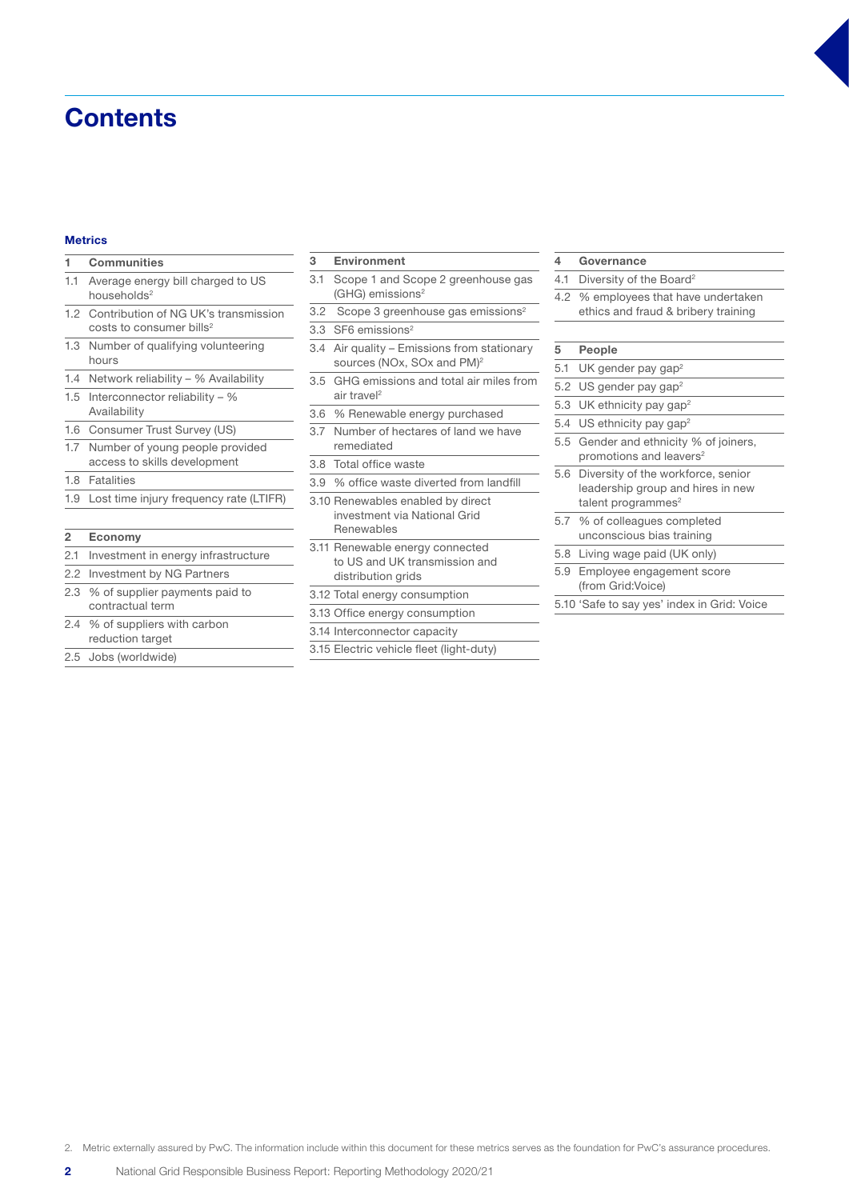## **Contents**

#### Metrics

#### **Communities**

- 1.1 Average energy bill charged to US households<sup>2</sup>
- 1.2 Contribution of NG UK's transmission costs to consumer bills<sup>2</sup>
- 1.3 Number of qualifying volunteering hours
- 1.4 Network reliability % Availability
- 1.5 Interconnector reliability  $%$ Availability
- 1.6 Consumer Trust Survey (US)
- 1.7 Number of young people provided access to skills development
- 1.8 Fatalities
- 1.9 Lost time injury frequency rate (LTIFR)

#### 2 Economy

- 2.1 Investment in energy infrastructure
- 2.2 Investment by NG Partners
- 2.3 % of supplier payments paid to contractual term
- 2.4 % of suppliers with carbon reduction target
- 2.5 Jobs (worldwide)

#### 3 Environment

- 3.1 Scope 1 and Scope 2 greenhouse gas (GHG) emissions2
- 3.2 Scope 3 greenhouse gas emissions<sup>2</sup>
- 3.3 SF6 emissions<sup>2</sup>
- 3.4 Air quality Emissions from stationary sources (NOx, SOx and PM)<sup>2</sup>
- 3.5 GHG emissions and total air miles from air travel<sup>2</sup>
- 3.6 % Renewable energy purchased
- 3.7 Number of hectares of land we have remediated
- 3.8 Total office waste
- 3.9 % office waste diverted from landfill
- 3.10 Renewables enabled by direct investment via National Grid Renewables
- 3.11 Renewable energy connected to US and UK transmission and distribution grids
- 3.12 Total energy consumption
- 3.13 Office energy consumption
- 3.14 Interconnector capacity
- 3.15 Electric vehicle fleet (light-duty)

#### 4 Governance

- 4.1 Diversity of the Board<sup>2</sup>
- 4.2 % employees that have undertaken ethics and fraud & bribery training

#### 5 People

- 5.1 UK gender pay gap<sup>2</sup>
- 5.2 US gender pay gap<sup>2</sup>
- 5.3 UK ethnicity pay gap<sup>2</sup>
- 5.4 US ethnicity pay gap<sup>2</sup>
- 5.5 Gender and ethnicity % of joiners, promotions and leavers<sup>2</sup>
- 5.6 Diversity of the workforce, senior leadership group and hires in new talent programmes $2$
- 5.7 % of colleagues completed unconscious bias training
- 5.8 Living wage paid (UK only)
- 5.9 Employee engagement score (from Grid:Voice)
- 5.10 'Safe to say yes' index in Grid: Voice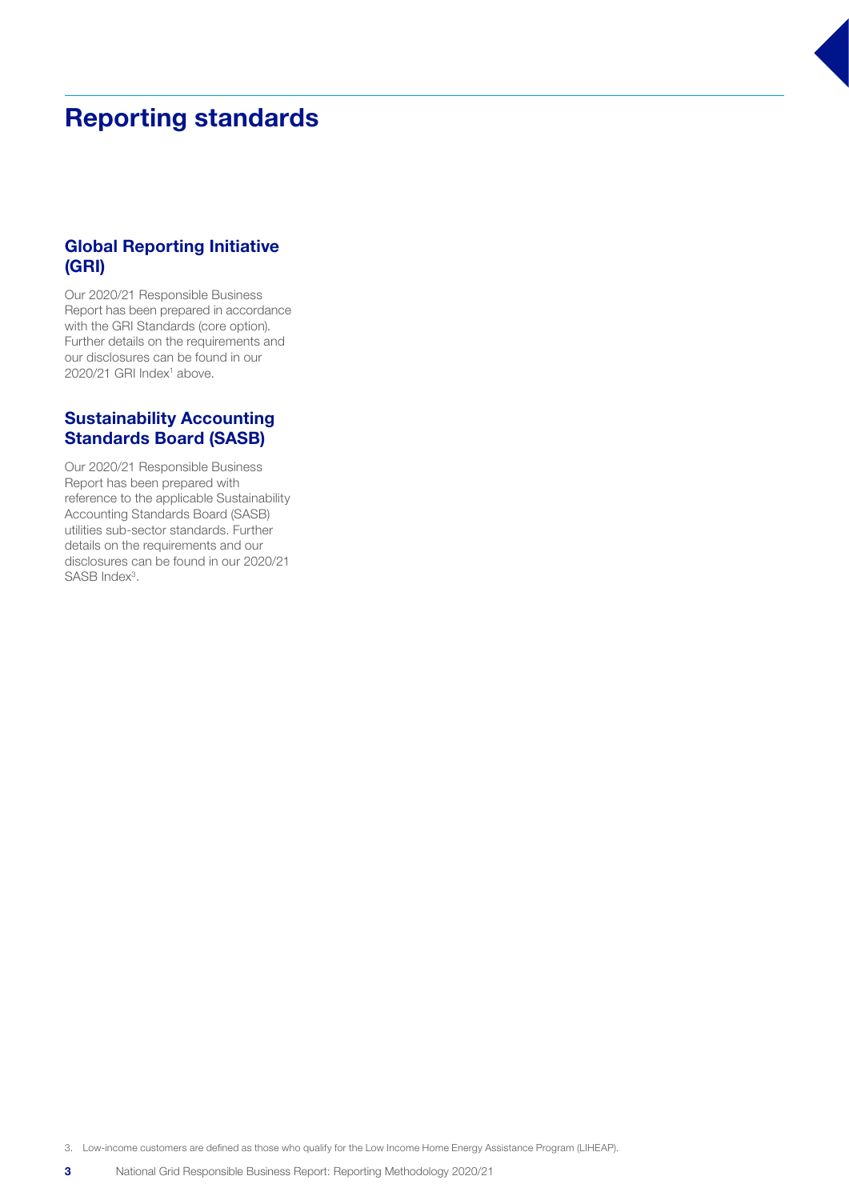## Reporting standards

## Global Reporting Initiative (GRI)

Our 2020/21 Responsible Business Report has been prepared in accordance with the GRI Standards (core option). Further details on the requirements and our disclosures can be found in our 2020/21 GRI Index<sup>1</sup> above.

## Sustainability Accounting Standards Board (SASB)

Our 2020/21 Responsible Business Report has been prepared with reference to the applicable Sustainability Accounting Standards Board (SASB) utilities sub-sector standards. Further details on the requirements and our disclosures can be found in our 2020/21 SASB Index<sup>3</sup>.

3. Low-income customers are defined as those who qualify for the Low Income Home Energy Assistance Program (LIHEAP).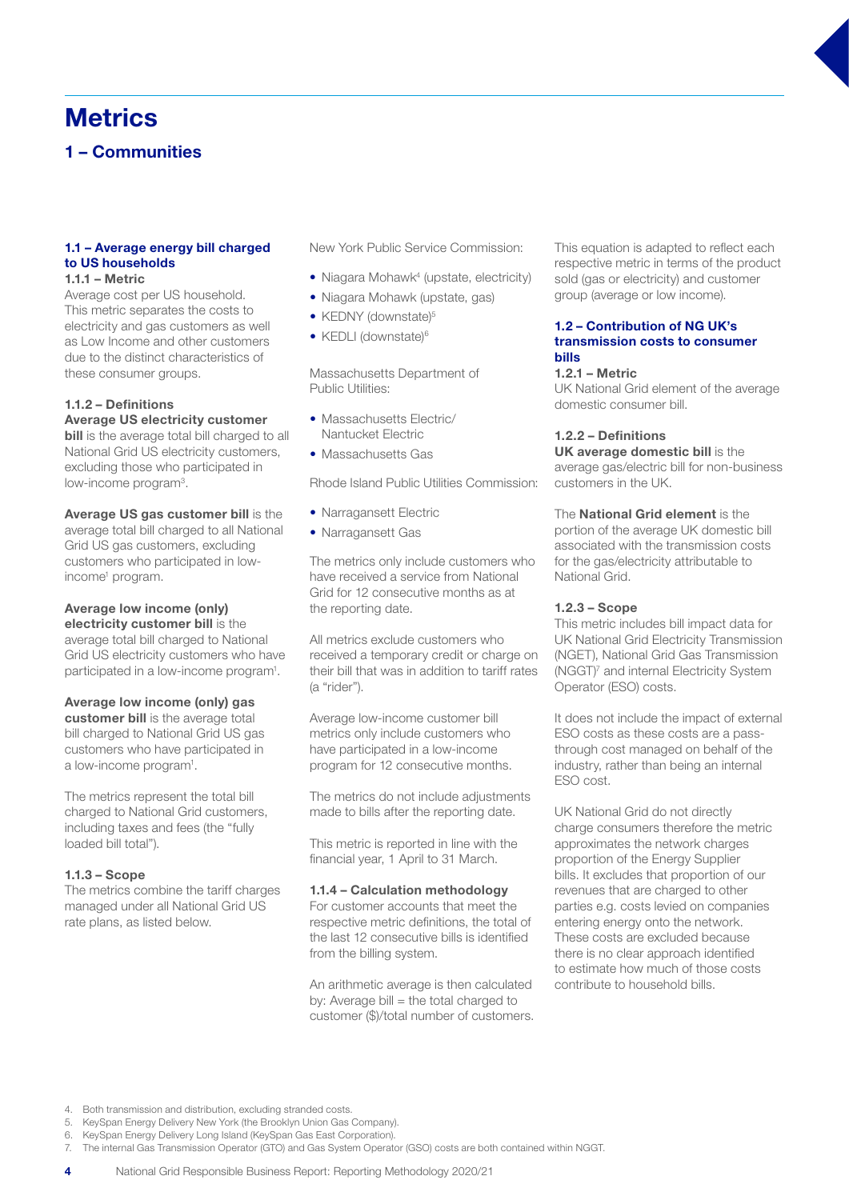## **Metrics**

1 – Communities

#### 1.1 – Average energy bill charged to US households 1.1.1 – Metric

Average cost per US household. This metric separates the costs to electricity and gas customers as well as Low Income and other customers due to the distinct characteristics of these consumer groups.

## 1.1.2 – Definitions

Average US electricity customer **bill** is the average total bill charged to all National Grid US electricity customers, excluding those who participated in low-income program<sup>3</sup>.

Average US gas customer bill is the average total bill charged to all National Grid US gas customers, excluding customers who participated in lowincome<sup>1</sup> program.

#### Average low income (only) electricity customer bill is the

average total bill charged to National Grid US electricity customers who have participated in a low-income program<sup>1</sup>.

#### Average low income (only) gas

customer bill is the average total bill charged to National Grid US gas customers who have participated in a low-income program<sup>1</sup>.

The metrics represent the total bill charged to National Grid customers, including taxes and fees (the "fully loaded bill total").

#### 1.1.3 – Scope

The metrics combine the tariff charges managed under all National Grid US rate plans, as listed below.

New York Public Service Commission:

- Niagara Mohawk<sup>4</sup> (upstate, electricity)
- Niagara Mohawk (upstate, gas)
- KEDNY (downstate)<sup>5</sup>
- KEDLI (downstate)<sup>6</sup>

Massachusetts Department of Public Utilities:

- Massachusetts Electric/ Nantucket Electric
- Massachusetts Gas

Rhode Island Public Utilities Commission:

- Narragansett Electric
- Narragansett Gas

The metrics only include customers who have received a service from National Grid for 12 consecutive months as at the reporting date.

All metrics exclude customers who received a temporary credit or charge on their bill that was in addition to tariff rates (a "rider").

Average low-income customer bill metrics only include customers who have participated in a low-income program for 12 consecutive months.

The metrics do not include adjustments made to bills after the reporting date.

This metric is reported in line with the financial year, 1 April to 31 March.

#### 1.1.4 – Calculation methodology

For customer accounts that meet the respective metric definitions, the total of the last 12 consecutive bills is identified from the billing system.

An arithmetic average is then calculated by: Average bill = the total charged to customer (\$)/total number of customers. This equation is adapted to reflect each respective metric in terms of the product sold (gas or electricity) and customer group (average or low income).

#### 1.2 – Contribution of NG UK's transmission costs to consumer bills

#### 1.2.1 – Metric

UK National Grid element of the average domestic consumer bill.

#### 1.2.2 – Definitions

#### UK average domestic bill is the

average gas/electric bill for non-business customers in the UK.

## The National Grid element is the

portion of the average UK domestic bill associated with the transmission costs for the gas/electricity attributable to National Grid.

#### 1.2.3 – Scope

This metric includes bill impact data for UK National Grid Electricity Transmission (NGET), National Grid Gas Transmission (NGGT)7 and internal Electricity System Operator (ESO) costs.

It does not include the impact of external ESO costs as these costs are a passthrough cost managed on behalf of the industry, rather than being an internal ESO cost.

UK National Grid do not directly charge consumers therefore the metric approximates the network charges proportion of the Energy Supplier bills. It excludes that proportion of our revenues that are charged to other parties e.g. costs levied on companies entering energy onto the network. These costs are excluded because there is no clear approach identified to estimate how much of those costs contribute to household bills.

5. KeySpan Energy Delivery New York (the Brooklyn Union Gas Company).

7. The internal Gas Transmission Operator (GTO) and Gas System Operator (GSO) costs are both contained within NGGT.

<sup>4.</sup> Both transmission and distribution, excluding stranded costs.

<sup>6.</sup> KeySpan Energy Delivery Long Island (KeySpan Gas East Corporation).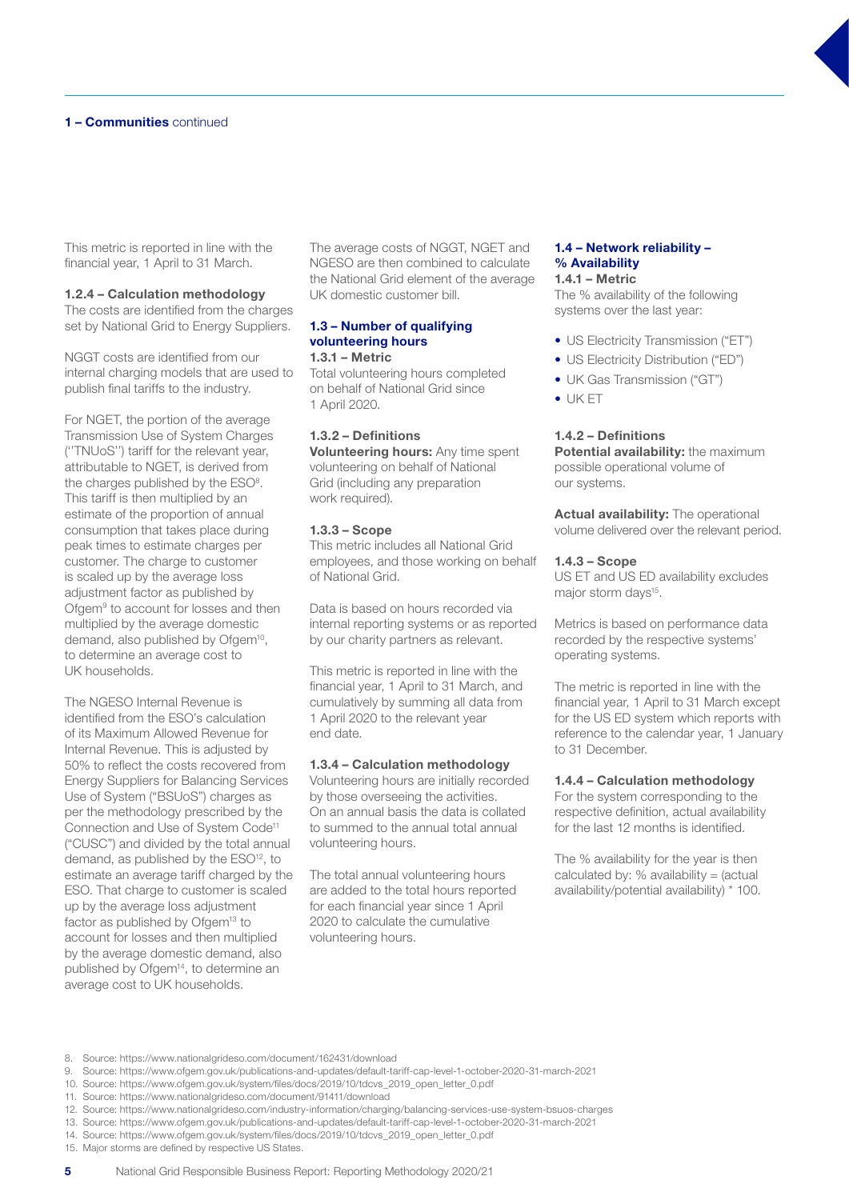This metric is reported in line with the financial year, 1 April to 31 March.

#### 1.2.4 – Calculation methodology

The costs are identified from the charges set by National Grid to Energy Suppliers.

NGGT costs are identified from our internal charging models that are used to publish final tariffs to the industry.

For NGET, the portion of the average Transmission Use of System Charges (''TNUoS'') tariff for the relevant year, attributable to NGET, is derived from the charges published by the ESO<sup>8</sup>. This tariff is then multiplied by an estimate of the proportion of annual consumption that takes place during peak times to estimate charges per customer. The charge to customer is scaled up by the average loss adjustment factor as published by Ofgem<sup>9</sup> to account for losses and then multiplied by the average domestic demand, also published by Ofgem<sup>10</sup>, to determine an average cost to UK households.

The NGESO Internal Revenue is identified from the ESO's calculation of its Maximum Allowed Revenue for Internal Revenue. This is adjusted by 50% to reflect the costs recovered from Energy Suppliers for Balancing Services Use of System ("BSUoS") charges as per the methodology prescribed by the Connection and Use of System Code<sup>11</sup> ("CUSC") and divided by the total annual demand, as published by the ESO<sup>12</sup>, to estimate an average tariff charged by the ESO. That charge to customer is scaled up by the average loss adjustment factor as published by Ofgem<sup>13</sup> to account for losses and then multiplied by the average domestic demand, also published by Ofgem<sup>14</sup>, to determine an average cost to UK households.

The average costs of NGGT, NGET and NGESO are then combined to calculate the National Grid element of the average UK domestic customer bill.

#### 1.3 – Number of qualifying volunteering hours 1.3.1 – Metric

Total volunteering hours completed on behalf of National Grid since 1 April 2020.

#### 1.3.2 – Definitions

**Volunteering hours:** Any time spent volunteering on behalf of National Grid (including any preparation work required).

#### 1.3.3 – Scope

This metric includes all National Grid employees, and those working on behalf of National Grid.

Data is based on hours recorded via internal reporting systems or as reported by our charity partners as relevant.

This metric is reported in line with the financial year, 1 April to 31 March, and cumulatively by summing all data from 1 April 2020 to the relevant year end date.

#### 1.3.4 – Calculation methodology

Volunteering hours are initially recorded by those overseeing the activities. On an annual basis the data is collated to summed to the annual total annual volunteering hours.

The total annual volunteering hours are added to the total hours reported for each financial year since 1 April 2020 to calculate the cumulative volunteering hours.

## 1.4 – Network reliability – % Availability

## 1.4.1 – Metric

The % availability of the following systems over the last year:

- US Electricity Transmission ("ET")
- US Electricity Distribution ("ED")
- UK Gas Transmission ("GT")
- UK ET

#### 1.4.2 – Definitions

Potential availability: the maximum possible operational volume of our systems.

Actual availability: The operational volume delivered over the relevant period.

#### 1.4.3 – Scope

US ET and US ED availability excludes major storm days<sup>15</sup>.

Metrics is based on performance data recorded by the respective systems' operating systems.

The metric is reported in line with the financial year, 1 April to 31 March except for the US ED system which reports with reference to the calendar year, 1 January to 31 December.

#### 1.4.4 – Calculation methodology

For the system corresponding to the respective definition, actual availability for the last 12 months is identified.

The % availability for the year is then calculated by:  $%$  availability = (actual availability/potential availability) \* 100.

- 9. Source: https://www.ofgem.gov.uk/publications-and-updates/default-tariff-cap-level-1-october-2020-31-march-2021
- 10. Source: https://www.ofgem.gov.uk/system/files/docs/2019/10/tdcvs\_2019\_open\_letter\_0.pdf
- 11. Source: https://www.nationalgrideso.com/document/91411/download
- 12. Source: https://www.nationalgrideso.com/industry-information/charging/balancing-services-use-system-bsuos-charges
- 13. Source: https://www.ofgem.gov.uk/publications-and-updates/default-tariff-cap-level-1-october-2020-31-march-2021
- 14. Source: https://www.ofgem.gov.uk/system/files/docs/2019/10/tdcvs\_2019\_open\_letter\_0.pdf
- 15. Major storms are defined by respective US States.

<sup>8.</sup> Source: https://www.nationalgrideso.com/document/162431/download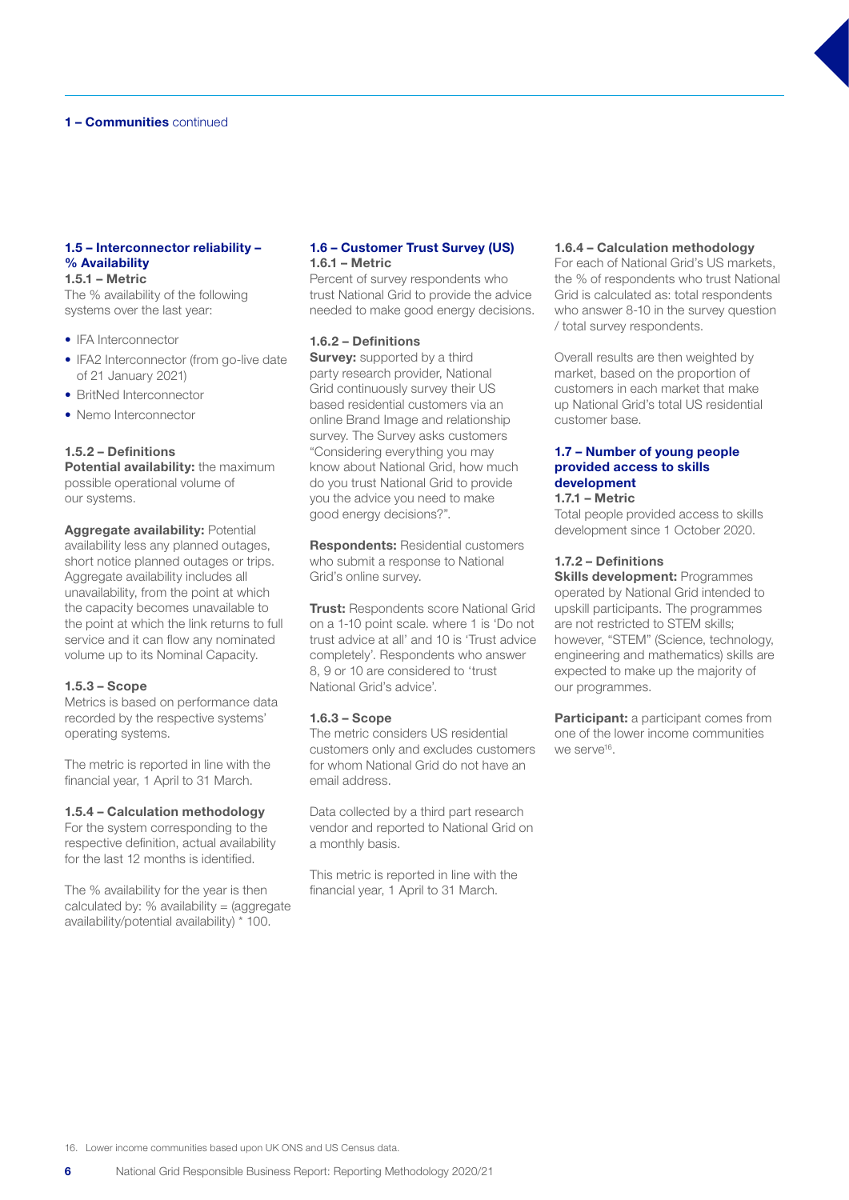## 1 - **Communities** continued

#### 1.5 – Interconnector reliability – % Availability 1.5.1 – Metric

The % availability of the following systems over the last year:

- IFA Interconnector
- IFA2 Interconnector (from go-live date of 21 January 2021)
- BritNed Interconnector
- Nemo Interconnector

#### 1.5.2 – Definitions

Potential availability: the maximum possible operational volume of our systems.

Aggregate availability: Potential availability less any planned outages, short notice planned outages or trips. Aggregate availability includes all unavailability, from the point at which the capacity becomes unavailable to the point at which the link returns to full service and it can flow any nominated volume up to its Nominal Capacity.

#### 1.5.3 – Scope

Metrics is based on performance data recorded by the respective systems' operating systems.

The metric is reported in line with the financial year, 1 April to 31 March.

#### 1.5.4 – Calculation methodology

For the system corresponding to the respective definition, actual availability for the last 12 months is identified.

The % availability for the year is then calculated by:  $%$  availability = (aggregate availability/potential availability) \* 100.

#### 1.6 – Customer Trust Survey (US) 1.6.1 – Metric

Percent of survey respondents who trust National Grid to provide the advice needed to make good energy decisions.

#### 1.6.2 – Definitions

**Survey:** supported by a third party research provider, National Grid continuously survey their US based residential customers via an online Brand Image and relationship survey. The Survey asks customers "Considering everything you may know about National Grid, how much do you trust National Grid to provide you the advice you need to make good energy decisions?".

Respondents: Residential customers who submit a response to National Grid's online survey.

**Trust: Respondents score National Grid** on a 1-10 point scale. where 1 is 'Do not trust advice at all' and 10 is 'Trust advice completely'. Respondents who answer 8, 9 or 10 are considered to 'trust National Grid's advice'.

#### 1.6.3 – Scope

The metric considers US residential customers only and excludes customers for whom National Grid do not have an email address.

Data collected by a third part research vendor and reported to National Grid on a monthly basis.

This metric is reported in line with the financial year, 1 April to 31 March.

#### 1.6.4 – Calculation methodology

For each of National Grid's US markets, the % of respondents who trust National Grid is calculated as: total respondents who answer 8-10 in the survey question / total survey respondents.

Overall results are then weighted by market, based on the proportion of customers in each market that make up National Grid's total US residential customer base.

#### 1.7 – Number of young people provided access to skills development

## 1.7.1 – Metric

Total people provided access to skills development since 1 October 2020.

#### 1.7.2 – Definitions

**Skills development: Programmes** operated by National Grid intended to upskill participants. The programmes are not restricted to STEM skills; however, "STEM" (Science, technology, engineering and mathematics) skills are expected to make up the majority of our programmes.

Participant: a participant comes from one of the lower income communities we serve<sup>16</sup>.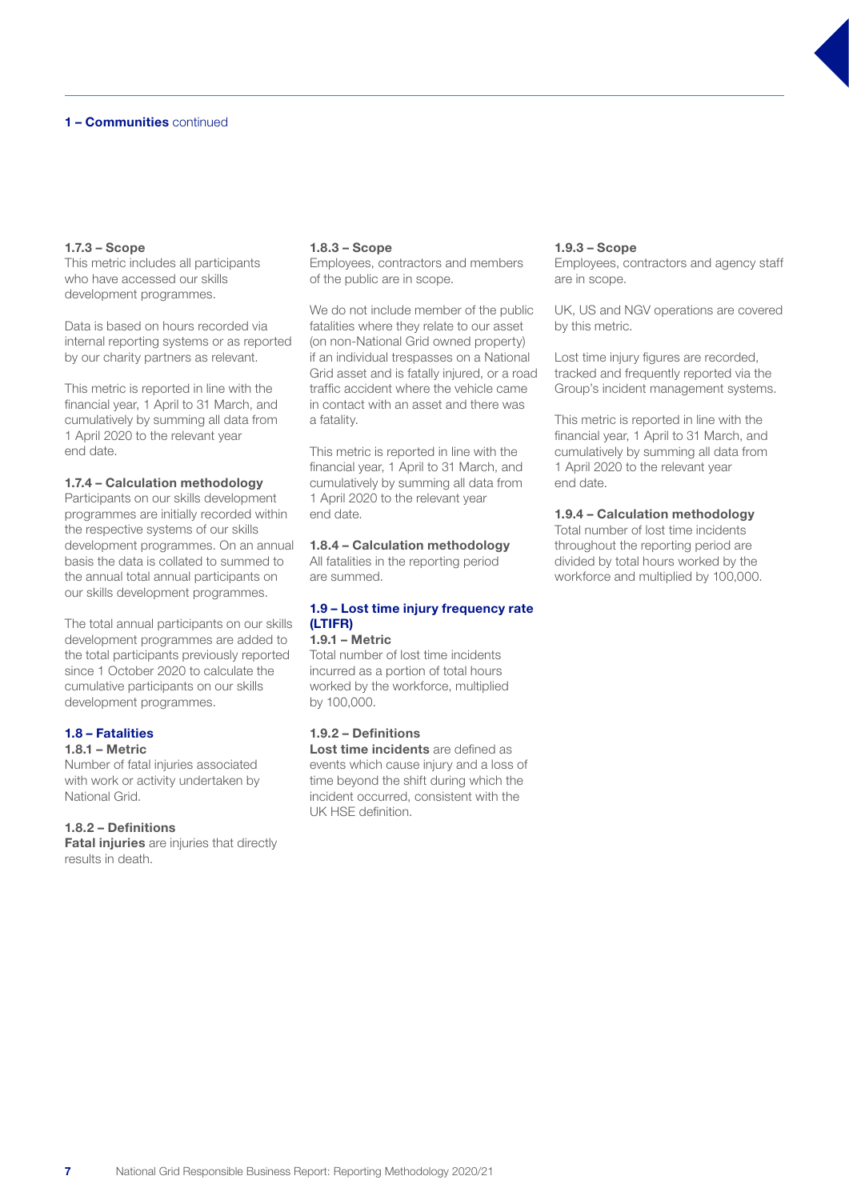## 1 - **Communities** continued

#### 1.7.3 – Scope

This metric includes all participants who have accessed our skills development programmes.

Data is based on hours recorded via internal reporting systems or as reported by our charity partners as relevant.

This metric is reported in line with the financial year, 1 April to 31 March, and cumulatively by summing all data from 1 April 2020 to the relevant year end date.

#### 1.7.4 – Calculation methodology

Participants on our skills development programmes are initially recorded within the respective systems of our skills development programmes. On an annual basis the data is collated to summed to the annual total annual participants on our skills development programmes.

The total annual participants on our skills development programmes are added to the total participants previously reported since 1 October 2020 to calculate the cumulative participants on our skills development programmes.

#### 1.8 – Fatalities 1.8.1 – Metric

Number of fatal injuries associated with work or activity undertaken by National Grid.

#### 1.8.2 – Definitions

**Fatal injuries** are injuries that directly results in death.

#### 1.8.3 – Scope

Employees, contractors and members of the public are in scope.

We do not include member of the public fatalities where they relate to our asset (on non-National Grid owned property) if an individual trespasses on a National Grid asset and is fatally injured, or a road traffic accident where the vehicle came in contact with an asset and there was a fatality.

This metric is reported in line with the financial year, 1 April to 31 March, and cumulatively by summing all data from 1 April 2020 to the relevant year end date.

#### 1.8.4 – Calculation methodology

All fatalities in the reporting period are summed.

## 1.9 – Lost time injury frequency rate (LTIFR)

## 1.9.1 – Metric

Total number of lost time incidents incurred as a portion of total hours worked by the workforce, multiplied by 100,000.

## 1.9.2 – Definitions

Lost time incidents are defined as events which cause injury and a loss of time beyond the shift during which the incident occurred, consistent with the UK HSE definition.

#### 1.9.3 – Scope

Employees, contractors and agency staff are in scope.

UK, US and NGV operations are covered by this metric.

Lost time injury figures are recorded, tracked and frequently reported via the Group's incident management systems.

This metric is reported in line with the financial year, 1 April to 31 March, and cumulatively by summing all data from 1 April 2020 to the relevant year end date.

#### 1.9.4 – Calculation methodology

Total number of lost time incidents throughout the reporting period are divided by total hours worked by the workforce and multiplied by 100,000.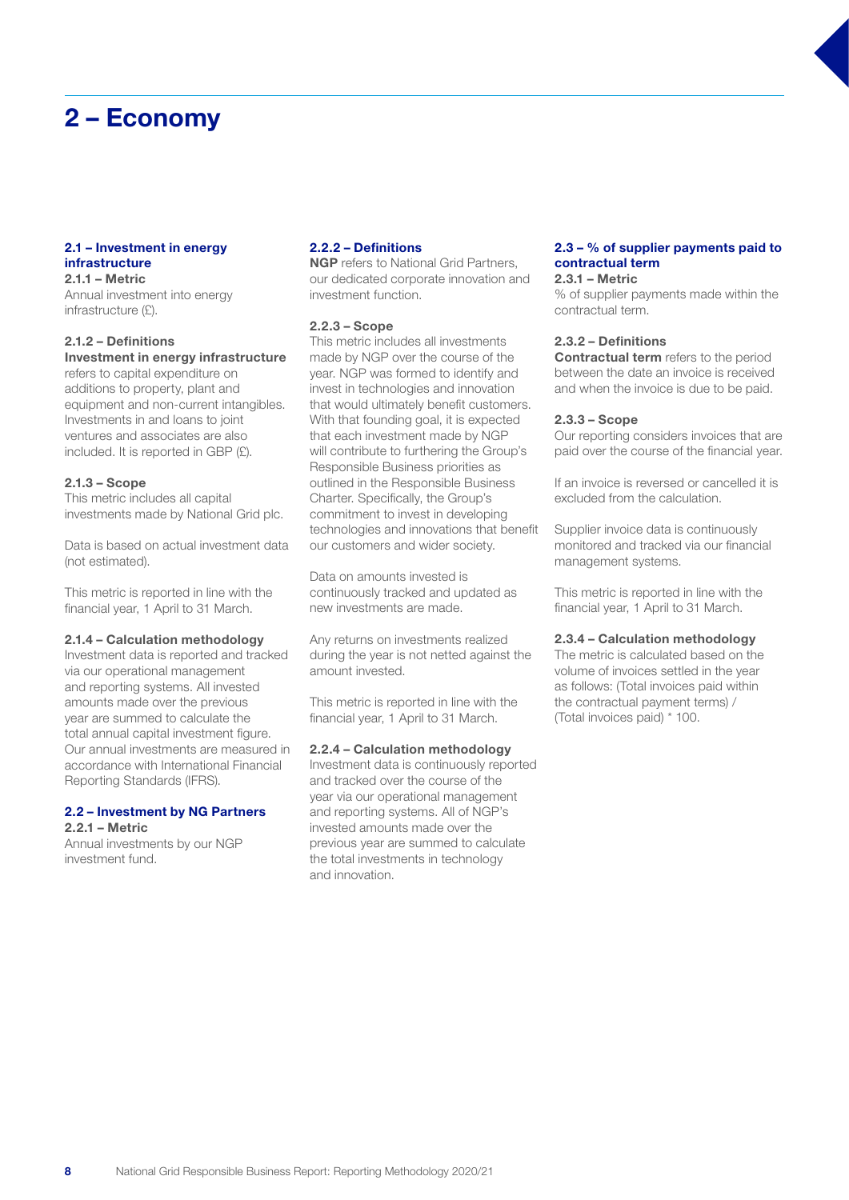## 2 – Economy

#### 2.1 – Investment in energy infrastructure 2.1.1 – Metric

Annual investment into energy infrastructure (£).

#### 2.1.2 – Definitions Investment in energy infrastructure

refers to capital expenditure on additions to property, plant and equipment and non-current intangibles. Investments in and loans to joint ventures and associates are also included. It is reported in GBP (£).

#### 2.1.3 – Scope

This metric includes all capital investments made by National Grid plc.

Data is based on actual investment data (not estimated).

This metric is reported in line with the financial year, 1 April to 31 March.

#### 2.1.4 – Calculation methodology

Investment data is reported and tracked via our operational management and reporting systems. All invested amounts made over the previous year are summed to calculate the total annual capital investment figure. Our annual investments are measured in accordance with International Financial Reporting Standards (IFRS).

#### 2.2 – Investment by NG Partners 2.2.1 – Metric

Annual investments by our NGP investment fund.

## 2.2.2 – Definitions

**NGP** refers to National Grid Partners, our dedicated corporate innovation and investment function.

#### 2.2.3 – Scope

This metric includes all investments made by NGP over the course of the year. NGP was formed to identify and invest in technologies and innovation that would ultimately benefit customers. With that founding goal, it is expected that each investment made by NGP will contribute to furthering the Group's Responsible Business priorities as outlined in the Responsible Business Charter. Specifically, the Group's commitment to invest in developing technologies and innovations that benefit our customers and wider society.

Data on amounts invested is continuously tracked and updated as new investments are made.

Any returns on investments realized during the year is not netted against the amount invested.

This metric is reported in line with the financial year, 1 April to 31 March.

#### 2.2.4 – Calculation methodology

Investment data is continuously reported and tracked over the course of the year via our operational management and reporting systems. All of NGP's invested amounts made over the previous year are summed to calculate the total investments in technology and innovation.

## 2.3 – % of supplier payments paid to contractual term

2.3.1 – Metric

% of supplier payments made within the contractual term.

#### 2.3.2 – Definitions

**Contractual term** refers to the period between the date an invoice is received and when the invoice is due to be paid.

#### 2.3.3 – Scope

Our reporting considers invoices that are paid over the course of the financial year.

If an invoice is reversed or cancelled it is excluded from the calculation.

Supplier invoice data is continuously monitored and tracked via our financial management systems.

This metric is reported in line with the financial year, 1 April to 31 March.

#### 2.3.4 – Calculation methodology

The metric is calculated based on the volume of invoices settled in the year as follows: (Total invoices paid within the contractual payment terms) / (Total invoices paid) \* 100.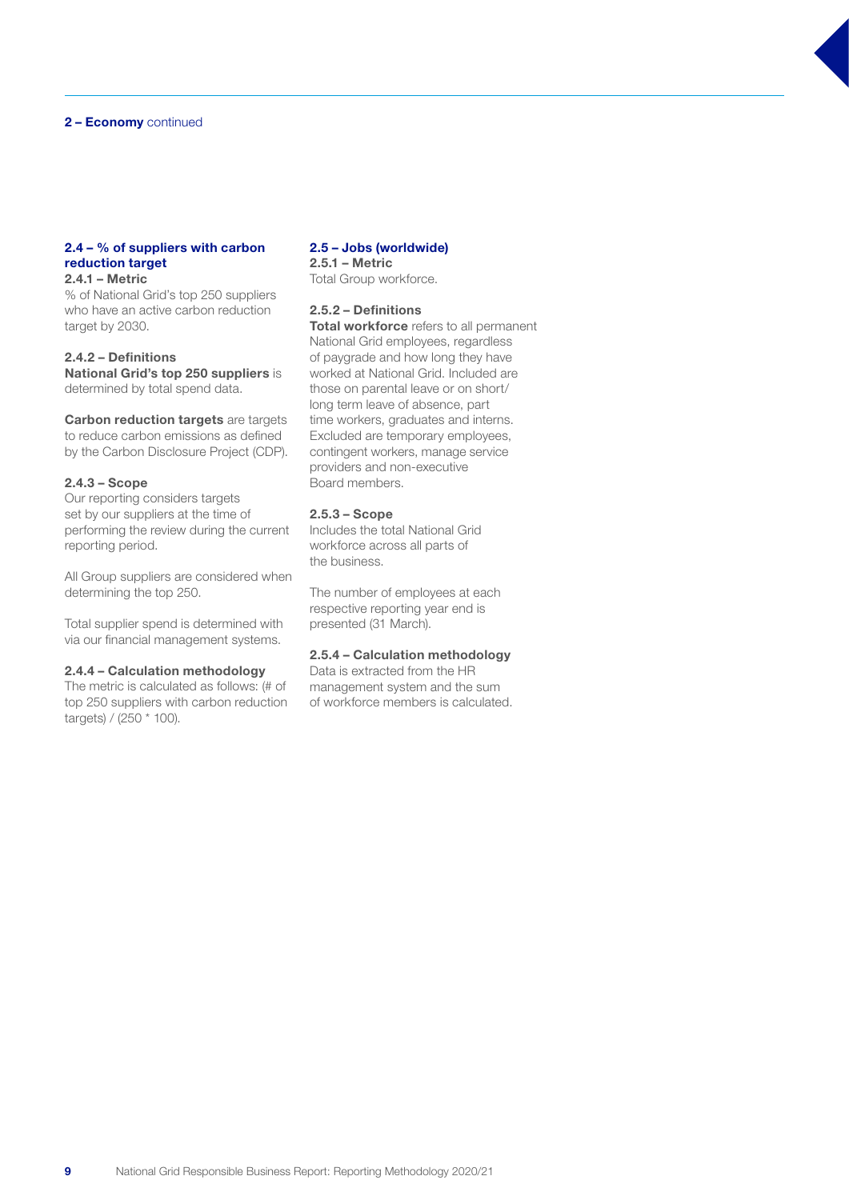#### 2 – Economy continued

#### 2.4 – % of suppliers with carbon reduction target 2.4.1 – Metric

% of National Grid's top 250 suppliers who have an active carbon reduction target by 2030.

2.4.2 – Definitions National Grid's top 250 suppliers is determined by total spend data.

**Carbon reduction targets** are targets to reduce carbon emissions as defined by the Carbon Disclosure Project (CDP).

#### 2.4.3 – Scope

Our reporting considers targets set by our suppliers at the time of performing the review during the current reporting period.

All Group suppliers are considered when determining the top 250.

Total supplier spend is determined with via our financial management systems.

#### 2.4.4 – Calculation methodology

The metric is calculated as follows: (# of top 250 suppliers with carbon reduction targets) / (250 \* 100).

#### 2.5 – Jobs (worldwide) 2.5.1 – Metric

Total Group workforce.

## 2.5.2 – Definitions

Total workforce refers to all permanent National Grid employees, regardless of paygrade and how long they have worked at National Grid. Included are those on parental leave or on short/ long term leave of absence, part time workers, graduates and interns. Excluded are temporary employees, contingent workers, manage service providers and non-executive Board members.

#### 2.5.3 – Scope

Includes the total National Grid workforce across all parts of the business.

The number of employees at each respective reporting year end is presented (31 March).

## 2.5.4 – Calculation methodology

Data is extracted from the HR management system and the sum of workforce members is calculated.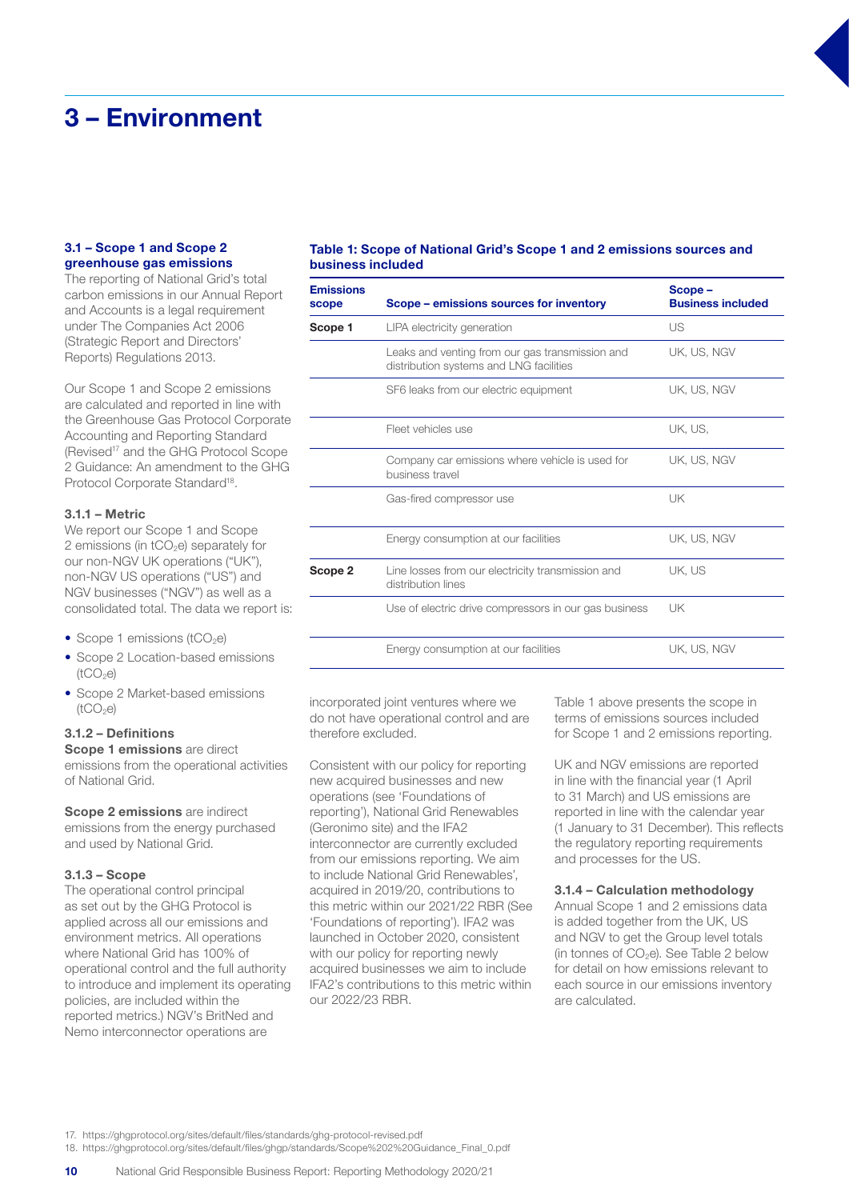## 3 – Environment

#### 3.1 – Scope 1 and Scope 2 greenhouse gas emissions

The reporting of National Grid's total carbon emissions in our Annual Report and Accounts is a legal requirement under The Companies Act 2006 (Strategic Report and Directors' Reports) Regulations 2013.

Our Scope 1 and Scope 2 emissions are calculated and reported in line with the Greenhouse Gas Protocol Corporate Accounting and Reporting Standard (Revised<sup>17</sup> and the GHG Protocol Scope 2 Guidance: An amendment to the GHG Protocol Corporate Standard<sup>18</sup>.

#### 3.1.1 – Metric

We report our Scope 1 and Scope 2 emissions (in  $tCO<sub>2</sub>e$ ) separately for our non-NGV UK operations ("UK"), non-NGV US operations ("US") and NGV businesses ("NGV") as well as a consolidated total. The data we report is:

- Scope 1 emissions ( $tCO<sub>2</sub>e$ )
- Scope 2 Location-based emissions  $(tCO<sub>2</sub>e)$
- Scope 2 Market-based emissions  $(tCO<sub>2</sub>e)$

#### 3.1.2 – Definitions

Scope 1 emissions are direct emissions from the operational activities of National Grid.

Scope 2 emissions are indirect emissions from the energy purchased and used by National Grid.

#### 3.1.3 – Scope

The operational control principal as set out by the GHG Protocol is applied across all our emissions and environment metrics. All operations where National Grid has 100% of operational control and the full authority to introduce and implement its operating policies, are included within the reported metrics.) NGV's BritNed and Nemo interconnector operations are

#### Table 1: Scope of National Grid's Scope 1 and 2 emissions sources and business included

| <b>Emissions</b><br>scope | Scope – emissions sources for inventory                                                    | Scope-<br><b>Business included</b> |
|---------------------------|--------------------------------------------------------------------------------------------|------------------------------------|
| Scope 1                   | LIPA electricity generation                                                                | US                                 |
|                           | Leaks and venting from our gas transmission and<br>distribution systems and LNG facilities | UK. US. NGV                        |
|                           | SF6 leaks from our electric equipment                                                      | UK, US, NGV                        |
|                           | Fleet vehicles use                                                                         | UK, US,                            |
|                           | Company car emissions where vehicle is used for<br>business travel                         | UK, US, NGV                        |
|                           | Gas-fired compressor use                                                                   | UK                                 |
|                           | Energy consumption at our facilities                                                       | UK, US, NGV                        |
| Scope 2                   | Line losses from our electricity transmission and<br>distribution lines                    | UK. US                             |
|                           | Use of electric drive compressors in our gas business                                      | UK                                 |
|                           | Energy consumption at our facilities                                                       | UK. US. NGV                        |

incorporated joint ventures where we do not have operational control and are therefore excluded.

Consistent with our policy for reporting new acquired businesses and new operations (see 'Foundations of reporting'), National Grid Renewables (Geronimo site) and the IFA2 interconnector are currently excluded from our emissions reporting. We aim to include National Grid Renewables', acquired in 2019/20, contributions to this metric within our 2021/22 RBR (See 'Foundations of reporting'). IFA2 was launched in October 2020, consistent with our policy for reporting newly acquired businesses we aim to include IFA2's contributions to this metric within our 2022/23 RBR.

Table 1 above presents the scope in terms of emissions sources included for Scope 1 and 2 emissions reporting.

UK and NGV emissions are reported in line with the financial year (1 April to 31 March) and US emissions are reported in line with the calendar year (1 January to 31 December). This reflects the regulatory reporting requirements and processes for the US.

#### 3.1.4 – Calculation methodology

Annual Scope 1 and 2 emissions data is added together from the UK, US and NGV to get the Group level totals (in tonnes of  $CO<sub>2</sub>e$ ). See Table 2 below for detail on how emissions relevant to each source in our emissions inventory are calculated.

17. https://ghgprotocol.org/sites/default/files/standards/ghg-protocol-revised.pdf

18. https://ghgprotocol.org/sites/default/files/ghgp/standards/Scope%202%20Guidance\_Final\_0.pdf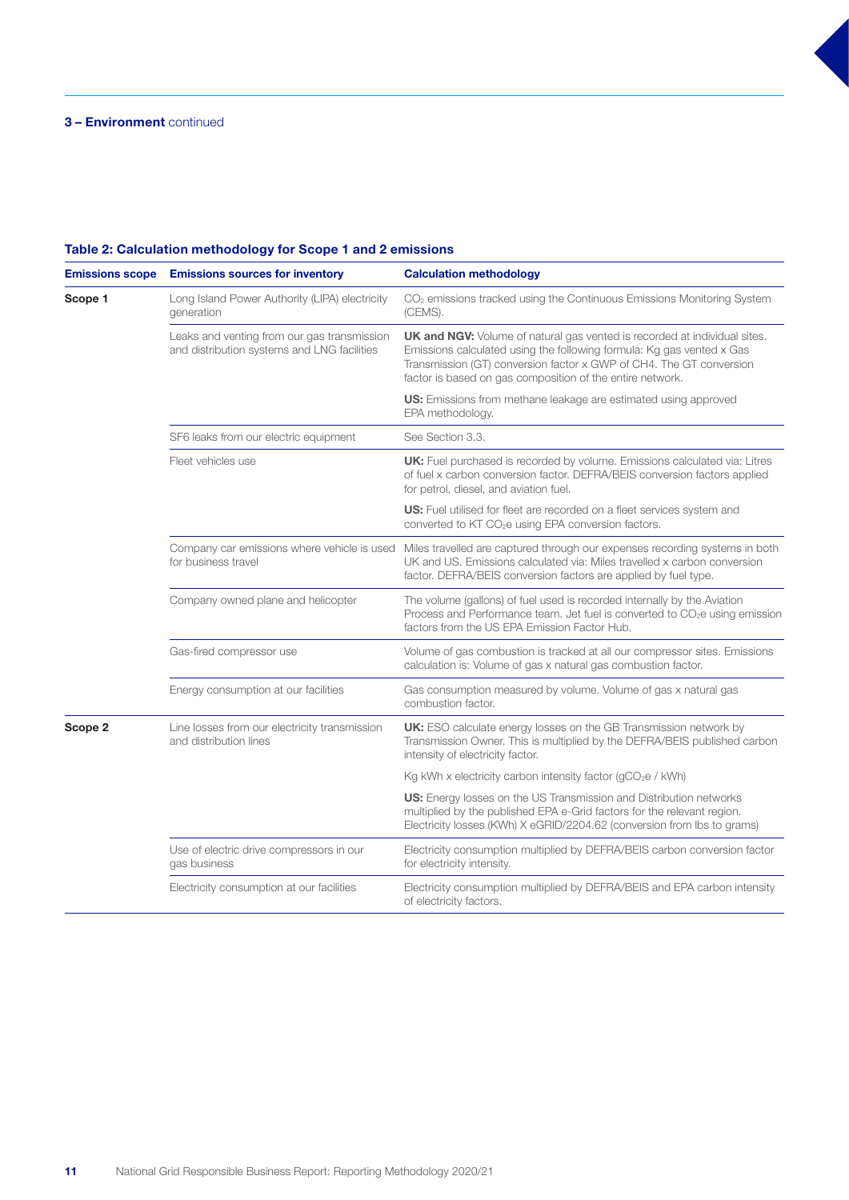| <b>Emissions scope</b> | <b>Emissions sources for inventory</b>                                                     | <b>Calculation methodology</b>                                                                                                                                                                                                                                                                |  |
|------------------------|--------------------------------------------------------------------------------------------|-----------------------------------------------------------------------------------------------------------------------------------------------------------------------------------------------------------------------------------------------------------------------------------------------|--|
| Scope 1                | Long Island Power Authority (LIPA) electricity<br>generation                               | CO <sub>2</sub> emissions tracked using the Continuous Emissions Monitoring System<br>(CEMS).                                                                                                                                                                                                 |  |
|                        | Leaks and venting from our gas transmission<br>and distribution systems and LNG facilities | <b>UK and NGV:</b> Volume of natural gas vented is recorded at individual sites.<br>Emissions calculated using the following formula: Kg gas vented x Gas<br>Transmission (GT) conversion factor x GWP of CH4. The GT conversion<br>factor is based on gas composition of the entire network. |  |
|                        |                                                                                            | US: Emissions from methane leakage are estimated using approved<br>EPA methodology.                                                                                                                                                                                                           |  |
|                        | SF6 leaks from our electric equipment                                                      | See Section 3.3.                                                                                                                                                                                                                                                                              |  |
|                        | Fleet vehicles use                                                                         | UK: Fuel purchased is recorded by volume. Emissions calculated via: Litres<br>of fuel x carbon conversion factor. DEFRA/BEIS conversion factors applied<br>for petrol, diesel, and aviation fuel.                                                                                             |  |
|                        |                                                                                            | <b>US:</b> Fuel utilised for fleet are recorded on a fleet services system and<br>converted to KT CO <sub>2</sub> e using EPA conversion factors.                                                                                                                                             |  |
|                        | Company car emissions where vehicle is used<br>for business travel                         | Miles travelled are captured through our expenses recording systems in both<br>UK and US. Emissions calculated via: Miles travelled x carbon conversion<br>factor. DEFRA/BEIS conversion factors are applied by fuel type.                                                                    |  |
|                        | Company owned plane and helicopter                                                         | The volume (gallons) of fuel used is recorded internally by the Aviation<br>Process and Performance team. Jet fuel is converted to CO <sub>2</sub> e using emission<br>factors from the US EPA Emission Factor Hub.                                                                           |  |
|                        | Gas-fired compressor use                                                                   | Volume of gas combustion is tracked at all our compressor sites. Emissions<br>calculation is: Volume of gas x natural gas combustion factor.                                                                                                                                                  |  |
|                        | Energy consumption at our facilities                                                       | Gas consumption measured by volume. Volume of gas x natural gas<br>combustion factor.                                                                                                                                                                                                         |  |
| Scope 2                | Line losses from our electricity transmission<br>and distribution lines                    | UK: ESO calculate energy losses on the GB Transmission network by<br>Transmission Owner. This is multiplied by the DEFRA/BEIS published carbon<br>intensity of electricity factor.                                                                                                            |  |
|                        |                                                                                            | Kg kWh x electricity carbon intensity factor ( $qCO2e$ / kWh)                                                                                                                                                                                                                                 |  |
|                        |                                                                                            | <b>US:</b> Energy losses on the US Transmission and Distribution networks<br>multiplied by the published EPA e-Grid factors for the relevant region.<br>Electricity losses (KWh) X eGRID/2204.62 (conversion from lbs to grams)                                                               |  |
|                        | Use of electric drive compressors in our<br>gas business                                   | Electricity consumption multiplied by DEFRA/BEIS carbon conversion factor<br>for electricity intensity.                                                                                                                                                                                       |  |
|                        | Electricity consumption at our facilities                                                  | Electricity consumption multiplied by DEFRA/BEIS and EPA carbon intensity<br>of electricity factors.                                                                                                                                                                                          |  |

## Table 2: Calculation methodology for Scope 1 and 2 emissions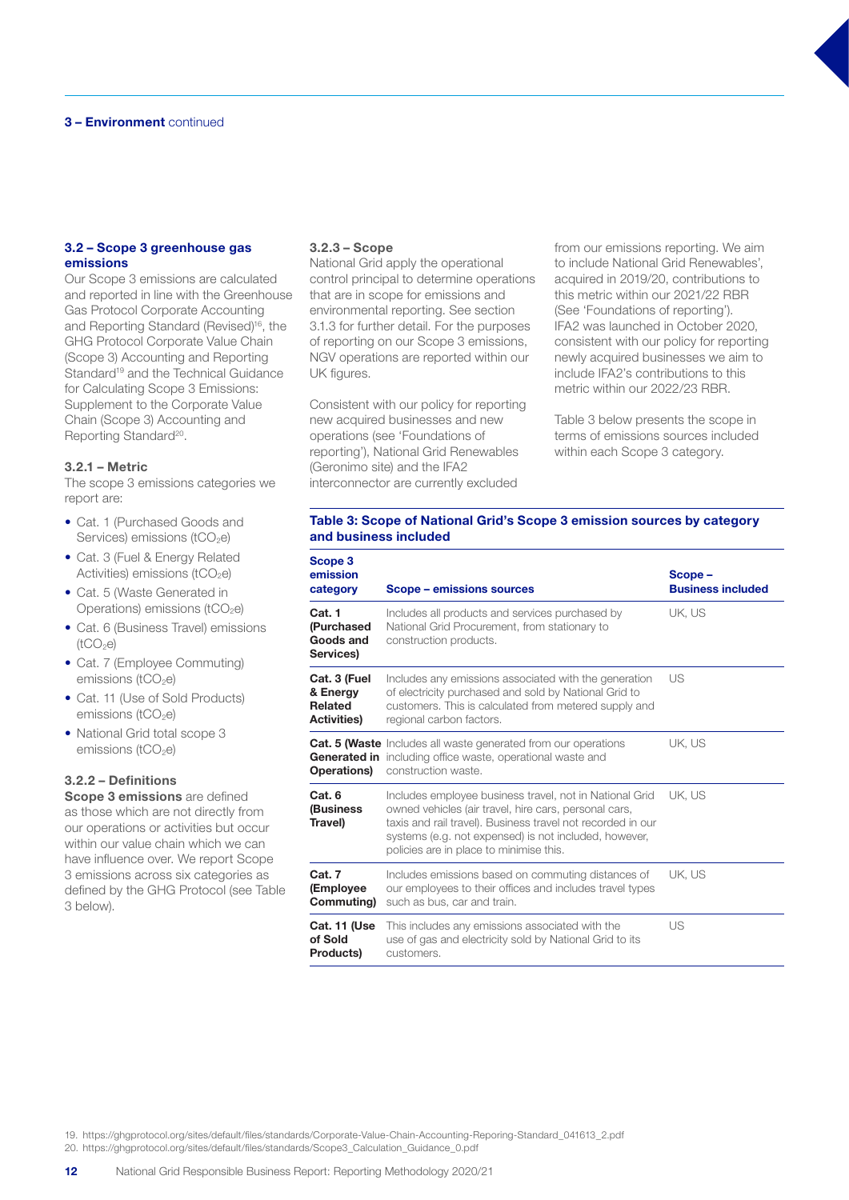#### 3.2 – Scope 3 greenhouse gas emissions

Our Scope 3 emissions are calculated and reported in line with the Greenhouse Gas Protocol Corporate Accounting and Reporting Standard (Revised)<sup>16</sup>, the GHG Protocol Corporate Value Chain (Scope 3) Accounting and Reporting Standard<sup>19</sup> and the Technical Guidance for Calculating Scope 3 Emissions: Supplement to the Corporate Value Chain (Scope 3) Accounting and Reporting Standard<sup>20</sup>.

#### 3.2.1 – Metric

The scope 3 emissions categories we report are:

- Cat. 1 (Purchased Goods and Services) emissions (tCO<sub>2</sub>e)
- Cat. 3 (Fuel & Energy Related Activities) emissions ( $tCO<sub>2</sub>e$ )
- Cat. 5 (Waste Generated in Operations) emissions (tCO<sub>2</sub>e)
- Cat. 6 (Business Travel) emissions  $(tCO<sub>2</sub>e)$
- Cat. 7 (Employee Commuting) emissions (tCO<sub>2</sub>e)
- Cat. 11 (Use of Sold Products) emissions ( $tCO<sub>2</sub>e$ )
- National Grid total scope 3 emissions ( $tCO<sub>2</sub>e$ )

#### 3.2.2 – Definitions

Scope 3 emissions are defined as those which are not directly from our operations or activities but occur within our value chain which we can have influence over. We report Scope 3 emissions across six categories as defined by the GHG Protocol (see Table 3 below).

#### 3.2.3 – Scope

National Grid apply the operational control principal to determine operations that are in scope for emissions and environmental reporting. See section 3.1.3 for further detail. For the purposes of reporting on our Scope 3 emissions, NGV operations are reported within our UK figures.

Consistent with our policy for reporting new acquired businesses and new operations (see 'Foundations of reporting'), National Grid Renewables (Geronimo site) and the IFA2 interconnector are currently excluded

from our emissions reporting. We aim to include National Grid Renewables', acquired in 2019/20, contributions to this metric within our 2021/22 RBR (See 'Foundations of reporting'). IFA2 was launched in October 2020, consistent with our policy for reporting newly acquired businesses we aim to include IFA2's contributions to this metric within our 2022/23 RBR.

Table 3 below presents the scope in terms of emissions sources included within each Scope 3 category.

#### Table 3: Scope of National Grid's Scope 3 emission sources by category and business included

| Scope 3<br>emission<br>category                                  | Scope – emissions sources                                                                                                                                                                                                                                                           | Scope-<br><b>Business included</b> |
|------------------------------------------------------------------|-------------------------------------------------------------------------------------------------------------------------------------------------------------------------------------------------------------------------------------------------------------------------------------|------------------------------------|
| Cat. 1<br>(Purchased<br>Goods and<br>Services)                   | Includes all products and services purchased by<br>National Grid Procurement, from stationary to<br>construction products.                                                                                                                                                          | UK, US                             |
| Cat. 3 (Fuel<br>& Energy<br><b>Related</b><br><b>Activities)</b> | Includes any emissions associated with the generation<br>of electricity purchased and sold by National Grid to<br>customers. This is calculated from metered supply and<br>regional carbon factors.                                                                                 | US                                 |
| Operations)                                                      | Cat. 5 (Waste Includes all waste generated from our operations<br><b>Generated in</b> including office waste, operational waste and<br>construction waste.                                                                                                                          | UK. US                             |
| Cat. 6<br>(Business<br>Travel)                                   | Includes employee business travel, not in National Grid<br>owned vehicles (air travel, hire cars, personal cars,<br>taxis and rail travel). Business travel not recorded in our<br>systems (e.g. not expensed) is not included, however,<br>policies are in place to minimise this. | UK. US                             |
| Cat. 7<br>(Employee<br>Commuting)                                | Includes emissions based on commuting distances of<br>our employees to their offices and includes travel types<br>such as bus, car and train.                                                                                                                                       | UK. US                             |
| Cat. 11 (Use<br>of Sold<br><b>Products</b>                       | This includes any emissions associated with the<br>use of gas and electricity sold by National Grid to its<br>customers.                                                                                                                                                            | US                                 |

19. https://ghgprotocol.org/sites/default/files/standards/Corporate-Value-Chain-Accounting-Reporing-Standard\_041613\_2.pdf

20. https://ghgprotocol.org/sites/default/files/standards/Scope3\_Calculation\_Guidance\_0.pdf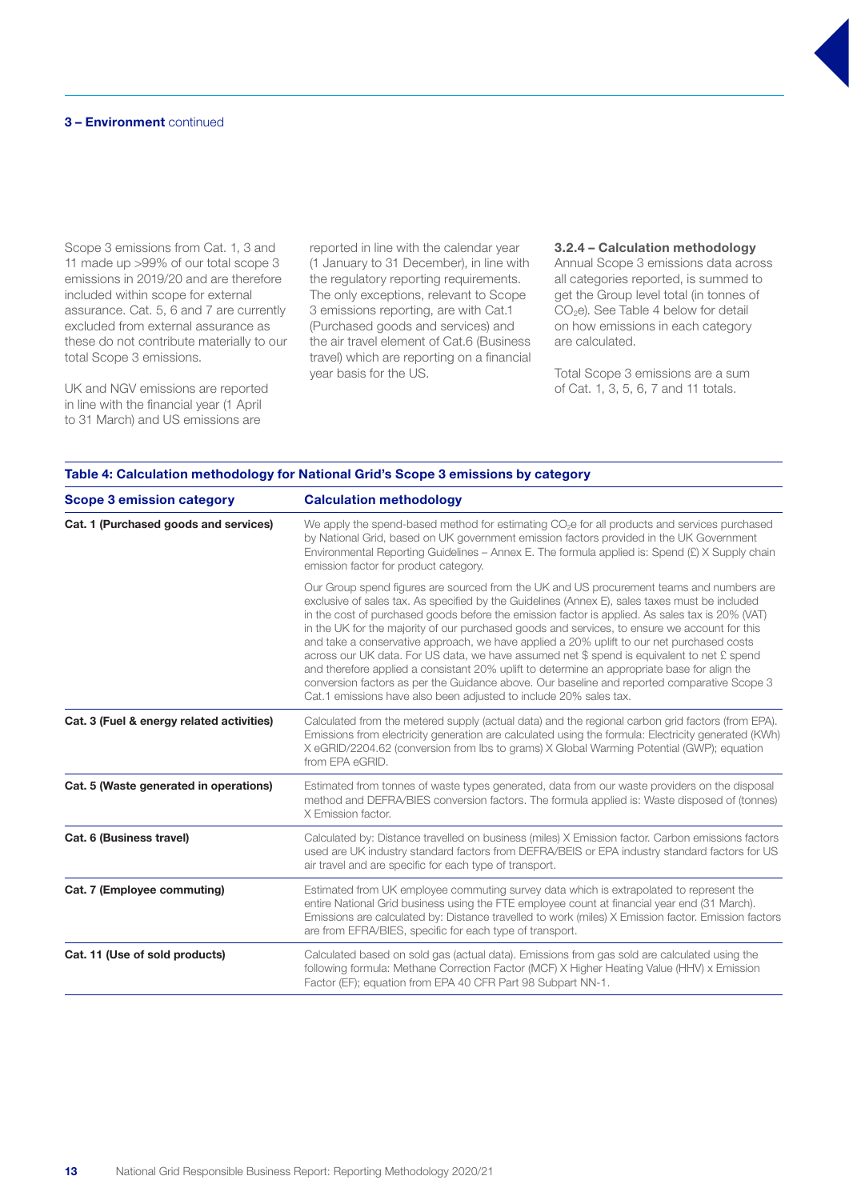Scope 3 emissions from Cat. 1, 3 and 11 made up >99% of our total scope 3 emissions in 2019/20 and are therefore included within scope for external assurance. Cat. 5, 6 and 7 are currently excluded from external assurance as these do not contribute materially to our total Scope 3 emissions.

UK and NGV emissions are reported in line with the financial year (1 April to 31 March) and US emissions are

reported in line with the calendar year (1 January to 31 December), in line with the regulatory reporting requirements. The only exceptions, relevant to Scope 3 emissions reporting, are with Cat.1 (Purchased goods and services) and the air travel element of Cat.6 (Business travel) which are reporting on a financial year basis for the US.

3.2.4 – Calculation methodology Annual Scope 3 emissions data across all categories reported, is summed to get the Group level total (in tonnes of CO2e). See Table 4 below for detail on how emissions in each category are calculated.

Total Scope 3 emissions are a sum of Cat. 1, 3, 5, 6, 7 and 11 totals.

| <b>Scope 3 emission category</b>          | <b>Calculation methodology</b>                                                                                                                                                                                                                                                                                                                                                                                                                                                                                                                                                                                                                                                                                                                                                                                                                                |  |  |
|-------------------------------------------|---------------------------------------------------------------------------------------------------------------------------------------------------------------------------------------------------------------------------------------------------------------------------------------------------------------------------------------------------------------------------------------------------------------------------------------------------------------------------------------------------------------------------------------------------------------------------------------------------------------------------------------------------------------------------------------------------------------------------------------------------------------------------------------------------------------------------------------------------------------|--|--|
| Cat. 1 (Purchased goods and services)     | We apply the spend-based method for estimating $CO2e$ for all products and services purchased<br>by National Grid, based on UK government emission factors provided in the UK Government<br>Environmental Reporting Guidelines – Annex E. The formula applied is: Spend $(E)$ X Supply chain<br>emission factor for product category.                                                                                                                                                                                                                                                                                                                                                                                                                                                                                                                         |  |  |
|                                           | Our Group spend figures are sourced from the UK and US procurement teams and numbers are<br>exclusive of sales tax. As specified by the Guidelines (Annex E), sales taxes must be included<br>in the cost of purchased goods before the emission factor is applied. As sales tax is 20% (VAT)<br>in the UK for the majority of our purchased goods and services, to ensure we account for this<br>and take a conservative approach, we have applied a 20% uplift to our net purchased costs<br>across our UK data. For US data, we have assumed net \$ spend is equivalent to net £ spend<br>and therefore applied a consistant 20% uplift to determine an appropriate base for align the<br>conversion factors as per the Guidance above. Our baseline and reported comparative Scope 3<br>Cat.1 emissions have also been adjusted to include 20% sales tax. |  |  |
| Cat. 3 (Fuel & energy related activities) | Calculated from the metered supply (actual data) and the regional carbon grid factors (from EPA).<br>Emissions from electricity generation are calculated using the formula: Electricity generated (KWh)<br>X eGRID/2204.62 (conversion from Ibs to grams) X Global Warming Potential (GWP); equation<br>from EPA eGRID.                                                                                                                                                                                                                                                                                                                                                                                                                                                                                                                                      |  |  |
| Cat. 5 (Waste generated in operations)    | Estimated from tonnes of waste types generated, data from our waste providers on the disposal<br>method and DEFRA/BIES conversion factors. The formula applied is: Waste disposed of (tonnes)<br>X Emission factor.                                                                                                                                                                                                                                                                                                                                                                                                                                                                                                                                                                                                                                           |  |  |
| Cat. 6 (Business travel)                  | Calculated by: Distance travelled on business (miles) X Emission factor. Carbon emissions factors<br>used are UK industry standard factors from DEFRA/BEIS or EPA industry standard factors for US<br>air travel and are specific for each type of transport.                                                                                                                                                                                                                                                                                                                                                                                                                                                                                                                                                                                                 |  |  |
| Cat. 7 (Employee commuting)               | Estimated from UK employee commuting survey data which is extrapolated to represent the<br>entire National Grid business using the FTE employee count at financial year end (31 March).<br>Emissions are calculated by: Distance travelled to work (miles) X Emission factor. Emission factors<br>are from EFRA/BIES, specific for each type of transport.                                                                                                                                                                                                                                                                                                                                                                                                                                                                                                    |  |  |
| Cat. 11 (Use of sold products)            | Calculated based on sold gas (actual data). Emissions from gas sold are calculated using the<br>following formula: Methane Correction Factor (MCF) X Higher Heating Value (HHV) x Emission<br>Factor (EF); equation from EPA 40 CFR Part 98 Subpart NN-1.                                                                                                                                                                                                                                                                                                                                                                                                                                                                                                                                                                                                     |  |  |

#### Table 4: Calculation methodology for National Grid's Scope 3 emissions by category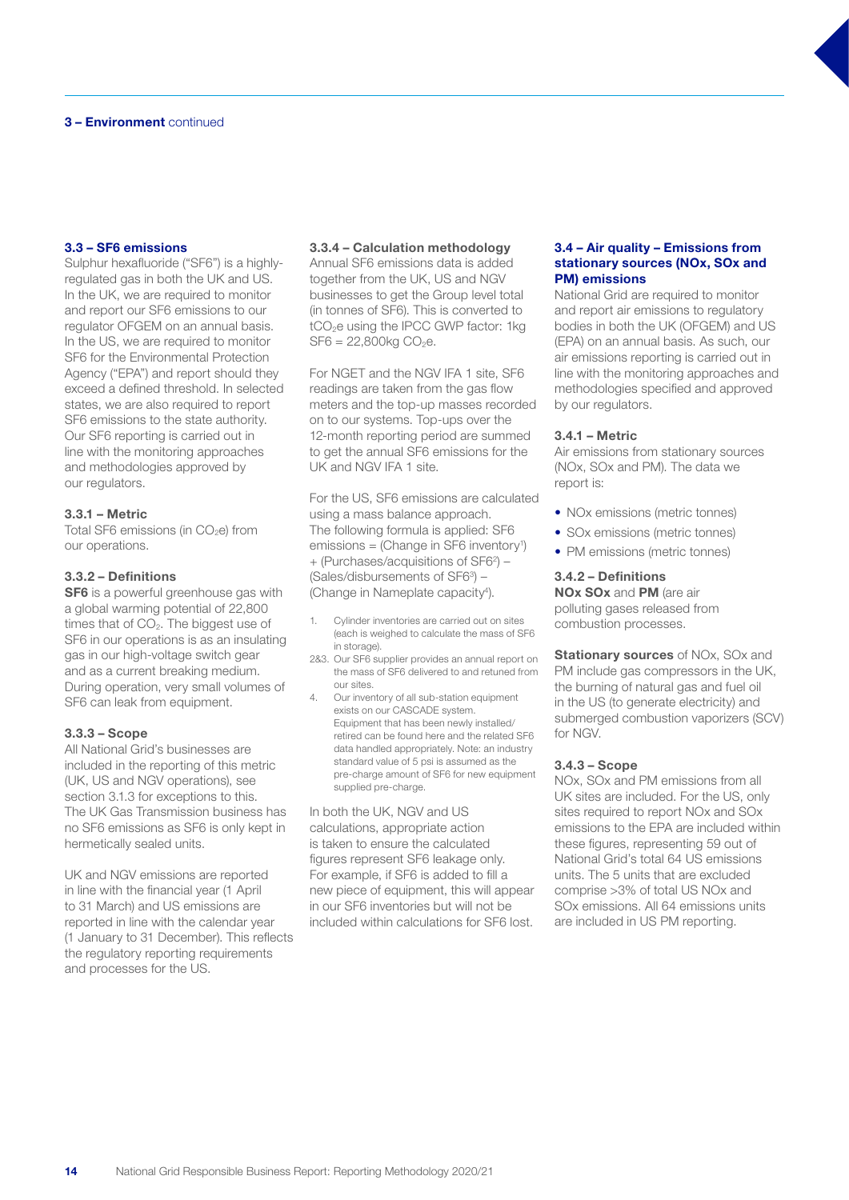#### 3.3 – SF6 emissions

Sulphur hexafluoride ("SF6") is a highlyregulated gas in both the UK and US. In the UK, we are required to monitor and report our SF6 emissions to our regulator OFGEM on an annual basis. In the US, we are required to monitor SF6 for the Environmental Protection Agency ("EPA") and report should they exceed a defined threshold. In selected states, we are also required to report SF6 emissions to the state authority. Our SF6 reporting is carried out in line with the monitoring approaches and methodologies approved by our regulators.

#### 3.3.1 – Metric

Total SF6 emissions (in  $CO<sub>2</sub>e$ ) from our operations.

#### 3.3.2 – Definitions

**SF6** is a powerful greenhouse gas with a global warming potential of 22,800 times that of  $CO<sub>2</sub>$ . The biggest use of SF6 in our operations is as an insulating gas in our high-voltage switch gear and as a current breaking medium. During operation, very small volumes of SF6 can leak from equipment.

#### 3.3.3 – Scope

All National Grid's businesses are included in the reporting of this metric (UK, US and NGV operations), see section 3.1.3 for exceptions to this. The UK Gas Transmission business has no SF6 emissions as SF6 is only kept in hermetically sealed units.

UK and NGV emissions are reported in line with the financial year (1 April to 31 March) and US emissions are reported in line with the calendar year (1 January to 31 December). This reflects the regulatory reporting requirements and processes for the US.

#### 3.3.4 – Calculation methodology

Annual SF6 emissions data is added together from the UK, US and NGV businesses to get the Group level total (in tonnes of SF6). This is converted to tCO<sub>2</sub>e using the IPCC GWP factor: 1kg  $SFG = 22,800kg CO<sub>2</sub>e.$ 

For NGET and the NGV IFA 1 site, SF6 readings are taken from the gas flow meters and the top-up masses recorded on to our systems. Top-ups over the 12-month reporting period are summed to get the annual SF6 emissions for the UK and NGV IFA 1 site.

For the US, SF6 emissions are calculated using a mass balance approach. The following formula is applied: SF6 emissions = (Change in SF6 inventory<sup>1</sup>) + (Purchases/acquisitions of SF62 ) – (Sales/disbursements of SF63 ) – (Change in Nameplate capacity<sup>4</sup>).

- 1. Cylinder inventories are carried out on sites (each is weighed to calculate the mass of SF6 in storage).
- 2&3. Our SF6 supplier provides an annual report on the mass of SF6 delivered to and retuned from our sites.
- 4. Our inventory of all sub-station equipment exists on our CASCADE system. Equipment that has been newly installed/ retired can be found here and the related SF6 data handled appropriately. Note: an industry standard value of 5 psi is assumed as the pre-charge amount of SF6 for new equipment supplied pre-charge.

In both the UK, NGV and US calculations, appropriate action is taken to ensure the calculated figures represent SF6 leakage only. For example, if SF6 is added to fill a new piece of equipment, this will appear in our SF6 inventories but will not be included within calculations for SF6 lost.

#### 3.4 – Air quality – Emissions from stationary sources (NOx, SOx and PM) emissions

National Grid are required to monitor and report air emissions to regulatory bodies in both the UK (OFGEM) and US (EPA) on an annual basis. As such, our air emissions reporting is carried out in line with the monitoring approaches and methodologies specified and approved by our regulators.

#### 3.4.1 – Metric

Air emissions from stationary sources (NOx, SOx and PM). The data we report is:

- NO<sub>x</sub> emissions (metric tonnes)
- SOx emissions (metric tonnes)
- PM emissions (metric tonnes)

#### 3.4.2 – Definitions

NOx SOx and PM (are air polluting gases released from combustion processes.

**Stationary sources** of NOx, SOx and PM include gas compressors in the UK, the burning of natural gas and fuel oil in the US (to generate electricity) and submerged combustion vaporizers (SCV) for NGV.

#### 3.4.3 – Scope

NOx, SOx and PM emissions from all UK sites are included. For the US, only sites required to report NOx and SOx emissions to the EPA are included within these figures, representing 59 out of National Grid's total 64 US emissions units. The 5 units that are excluded comprise >3% of total US NOx and SOx emissions. All 64 emissions units are included in US PM reporting.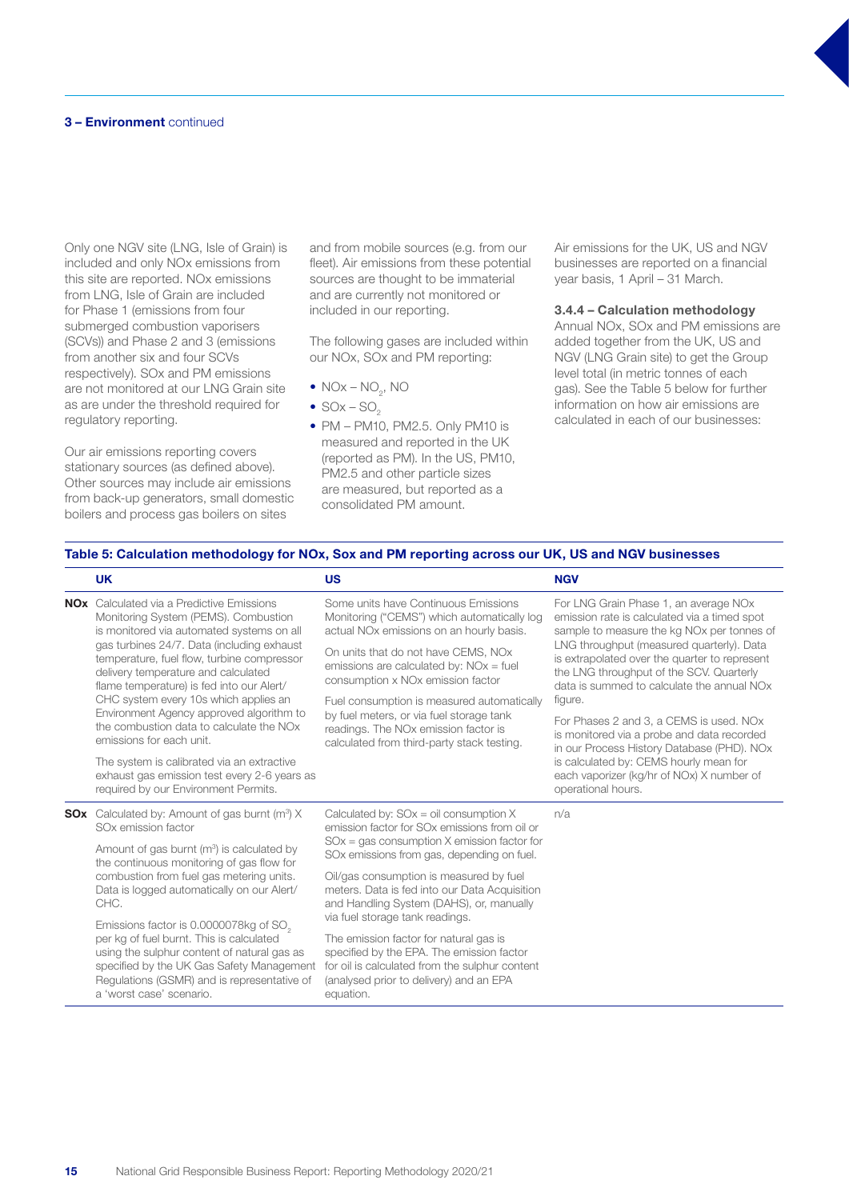Only one NGV site (LNG, Isle of Grain) is included and only NOx emissions from this site are reported. NOx emissions from LNG, Isle of Grain are included for Phase 1 (emissions from four submerged combustion vaporisers (SCVs)) and Phase 2 and 3 (emissions from another six and four SCVs respectively). SOx and PM emissions are not monitored at our LNG Grain site as are under the threshold required for regulatory reporting.

Our air emissions reporting covers stationary sources (as defined above). Other sources may include air emissions from back-up generators, small domestic boilers and process gas boilers on sites

and from mobile sources (e.g. from our fleet). Air emissions from these potential sources are thought to be immaterial and are currently not monitored or included in our reporting.

The following gases are included within our NOx, SOx and PM reporting:

- $NOx NO_2$ , NO
- $SOX SO<sub>2</sub>$
- PM PM10, PM2.5. Only PM10 is measured and reported in the UK (reported as PM). In the US, PM10, PM2.5 and other particle sizes are measured, but reported as a consolidated PM amount.

Air emissions for the UK, US and NGV businesses are reported on a financial year basis, 1 April – 31 March.

#### 3.4.4 – Calculation methodology

Annual NOx, SOx and PM emissions are added together from the UK, US and NGV (LNG Grain site) to get the Group level total (in metric tonnes of each gas). See the Table 5 below for further information on how air emissions are calculated in each of our businesses:

#### Table 5: Calculation methodology for NOx, Sox and PM reporting across our UK, US and NGV businesses

|  | <b>UK</b>                                                                                                                                                                    | <b>US</b>                                                                                                                                                                                            | <b>NGV</b>                                                                                                                                                                                                                                                                                                                                          |  |
|--|------------------------------------------------------------------------------------------------------------------------------------------------------------------------------|------------------------------------------------------------------------------------------------------------------------------------------------------------------------------------------------------|-----------------------------------------------------------------------------------------------------------------------------------------------------------------------------------------------------------------------------------------------------------------------------------------------------------------------------------------------------|--|
|  | <b>NOx</b> Calculated via a Predictive Emissions<br>Monitoring System (PEMS). Combustion<br>is monitored via automated systems on all                                        | Some units have Continuous Emissions<br>Monitoring ("CEMS") which automatically log<br>actual NO <sub>x</sub> emissions on an hourly basis.                                                          | For LNG Grain Phase 1, an average NOx<br>emission rate is calculated via a timed spot<br>sample to measure the kg NO <sub>x</sub> per tonnes of<br>LNG throughput (measured quarterly). Data<br>is extrapolated over the quarter to represent<br>the LNG throughput of the SCV. Quarterly<br>data is summed to calculate the annual NO <sub>x</sub> |  |
|  | gas turbines 24/7. Data (including exhaust<br>temperature, fuel flow, turbine compressor<br>delivery temperature and calculated<br>flame temperature) is fed into our Alert/ | On units that do not have CEMS, NOx<br>emissions are calculated by: $NOx = fuel$<br>consumption x NO <sub>x</sub> emission factor                                                                    |                                                                                                                                                                                                                                                                                                                                                     |  |
|  | CHC system every 10s which applies an                                                                                                                                        | Fuel consumption is measured automatically                                                                                                                                                           | figure.                                                                                                                                                                                                                                                                                                                                             |  |
|  | Environment Agency approved algorithm to<br>the combustion data to calculate the NO <sub>x</sub><br>emissions for each unit.                                                 | by fuel meters, or via fuel storage tank<br>readings. The NO <sub>x</sub> emission factor is<br>calculated from third-party stack testing.                                                           | For Phases 2 and 3, a CEMS is used. NOx<br>is monitored via a probe and data recorded<br>in our Process History Database (PHD). NOx                                                                                                                                                                                                                 |  |
|  | The system is calibrated via an extractive<br>exhaust gas emission test every 2-6 years as<br>required by our Environment Permits.                                           |                                                                                                                                                                                                      | is calculated by: CEMS hourly mean for<br>each vaporizer (kg/hr of NOx) X number of<br>operational hours.                                                                                                                                                                                                                                           |  |
|  | <b>SOx</b> Calculated by: Amount of gas burnt $(m^3)$ X<br>SO <sub>x</sub> emission factor                                                                                   | Calculated by: $SOx = oil$ consumption X<br>emission factor for SO <sub>x</sub> emissions from oil or<br>$SOx = gas$ consumption X emission factor for<br>SOx emissions from gas, depending on fuel. | n/a                                                                                                                                                                                                                                                                                                                                                 |  |
|  | Amount of gas burnt $(m^3)$ is calculated by<br>the continuous monitoring of gas flow for                                                                                    |                                                                                                                                                                                                      |                                                                                                                                                                                                                                                                                                                                                     |  |
|  | combustion from fuel gas metering units.<br>Data is logged automatically on our Alert/<br>CHC.                                                                               | Oil/gas consumption is measured by fuel<br>meters. Data is fed into our Data Acquisition<br>and Handling System (DAHS), or, manually<br>via fuel storage tank readings.                              |                                                                                                                                                                                                                                                                                                                                                     |  |
|  | Emissions factor is 0.0000078kg of SO <sub>2</sub><br>per kg of fuel burnt. This is calculated                                                                               |                                                                                                                                                                                                      |                                                                                                                                                                                                                                                                                                                                                     |  |
|  | using the sulphur content of natural gas as<br>specified by the UK Gas Safety Management<br>Regulations (GSMR) and is representative of<br>a 'worst case' scenario.          | The emission factor for natural gas is<br>specified by the EPA. The emission factor<br>for oil is calculated from the sulphur content<br>(analysed prior to delivery) and an EPA<br>equation.        |                                                                                                                                                                                                                                                                                                                                                     |  |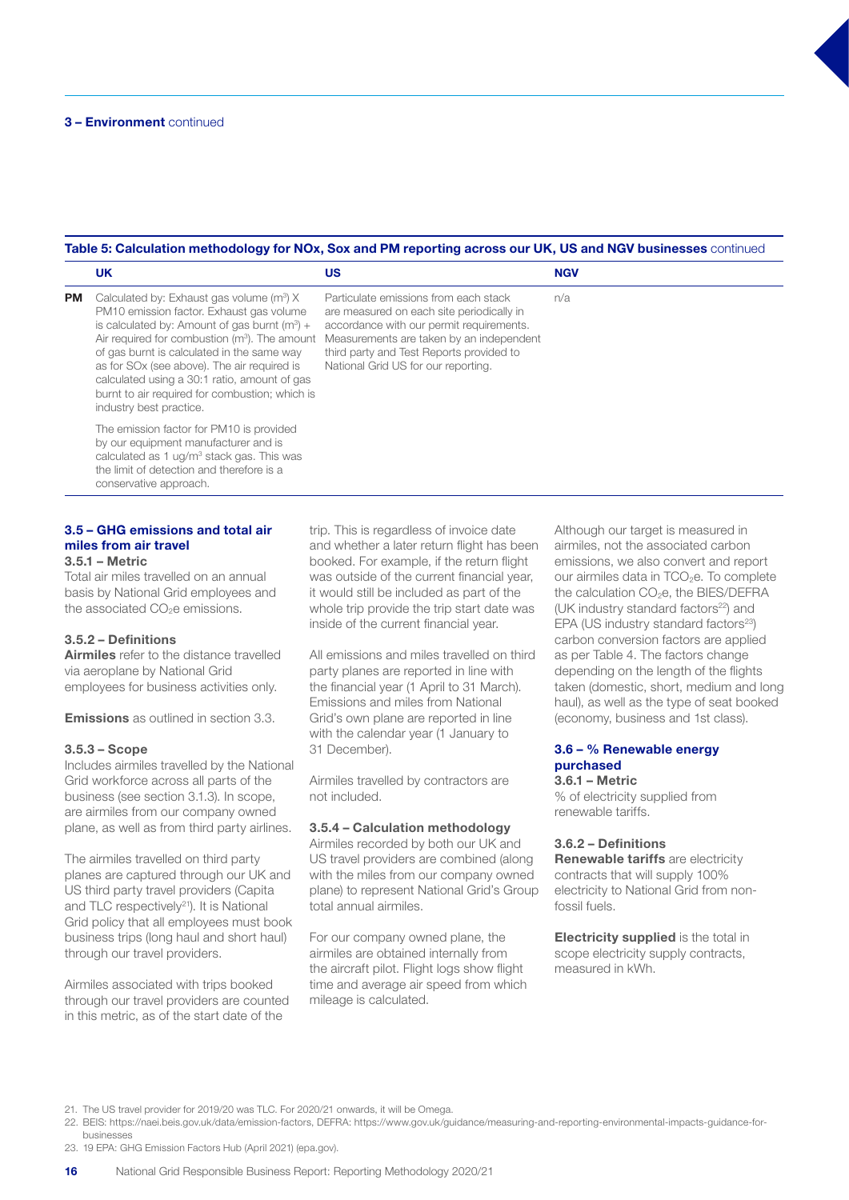#### Table 5: Calculation methodology for NOx, Sox and PM reporting across our UK, US and NGV businesses continued

|           | <b>UK</b>                                                                                                                                                                                                                                                                                                                                                                                                                | <b>US</b>                                                                                                                                                                                                                                                     | <b>NGV</b> |
|-----------|--------------------------------------------------------------------------------------------------------------------------------------------------------------------------------------------------------------------------------------------------------------------------------------------------------------------------------------------------------------------------------------------------------------------------|---------------------------------------------------------------------------------------------------------------------------------------------------------------------------------------------------------------------------------------------------------------|------------|
| <b>PM</b> | Calculated by: Exhaust gas volume $(m^3)$ X<br>PM10 emission factor. Exhaust gas volume<br>is calculated by: Amount of gas burnt $(m^3)$ +<br>Air required for combustion $(m^3)$ . The amount<br>of gas burnt is calculated in the same way<br>as for SOx (see above). The air required is<br>calculated using a 30:1 ratio, amount of gas<br>burnt to air required for combustion; which is<br>industry best practice. | Particulate emissions from each stack<br>are measured on each site periodically in<br>accordance with our permit requirements.<br>Measurements are taken by an independent<br>third party and Test Reports provided to<br>National Grid US for our reporting. | n/a        |
|           | The emission factor for PM10 is provided<br>by our equipment manufacturer and is<br>calculated as 1 ug/m <sup>3</sup> stack gas. This was<br>the limit of detection and therefore is a<br>conservative approach.                                                                                                                                                                                                         |                                                                                                                                                                                                                                                               |            |

## 3.5 – GHG emissions and total air miles from air travel

#### 3.5.1 – Metric

Total air miles travelled on an annual basis by National Grid employees and the associated CO<sub>2</sub>e emissions.

#### 3.5.2 – Definitions

**Airmiles** refer to the distance travelled via aeroplane by National Grid employees for business activities only.

**Emissions** as outlined in section 3.3.

#### 3.5.3 – Scope

Includes airmiles travelled by the National Grid workforce across all parts of the business (see section 3.1.3). In scope, are airmiles from our company owned plane, as well as from third party airlines.

The airmiles travelled on third party planes are captured through our UK and US third party travel providers (Capita and TLC respectively<sup>21</sup>). It is National Grid policy that all employees must book business trips (long haul and short haul) through our travel providers.

Airmiles associated with trips booked through our travel providers are counted in this metric, as of the start date of the

trip. This is regardless of invoice date and whether a later return flight has been booked. For example, if the return flight was outside of the current financial year, it would still be included as part of the whole trip provide the trip start date was inside of the current financial year.

All emissions and miles travelled on third party planes are reported in line with the financial year (1 April to 31 March). Emissions and miles from National Grid's own plane are reported in line with the calendar year (1 January to 31 December).

Airmiles travelled by contractors are not included.

#### 3.5.4 – Calculation methodology

Airmiles recorded by both our UK and US travel providers are combined (along with the miles from our company owned plane) to represent National Grid's Group total annual airmiles.

For our company owned plane, the airmiles are obtained internally from the aircraft pilot. Flight logs show flight time and average air speed from which mileage is calculated.

Although our target is measured in airmiles, not the associated carbon emissions, we also convert and report our airmiles data in TCO<sub>2</sub>e. To complete the calculation CO<sub>2</sub>e, the BIES/DEFRA (UK industry standard factors $22$ ) and EPA (US industry standard factors<sup>23</sup>) carbon conversion factors are applied as per Table 4. The factors change depending on the length of the flights taken (domestic, short, medium and long haul), as well as the type of seat booked (economy, business and 1st class).

## 3.6 – % Renewable energy purchased

3.6.1 – Metric

% of electricity supplied from renewable tariffs.

#### 3.6.2 – Definitions

Renewable tariffs are electricity contracts that will supply 100% electricity to National Grid from nonfossil fuels.

**Electricity supplied** is the total in scope electricity supply contracts, measured in kWh.

21. The US travel provider for 2019/20 was TLC. For 2020/21 onwards, it will be Omega.

22. BEIS: https://naei.beis.gov.uk/data/emission-factors, DEFRA: https://www.gov.uk/guidance/measuring-and-reporting-environmental-impacts-guidance-forbusinesses

23. 19 EPA: GHG Emission Factors Hub (April 2021) (epa.gov).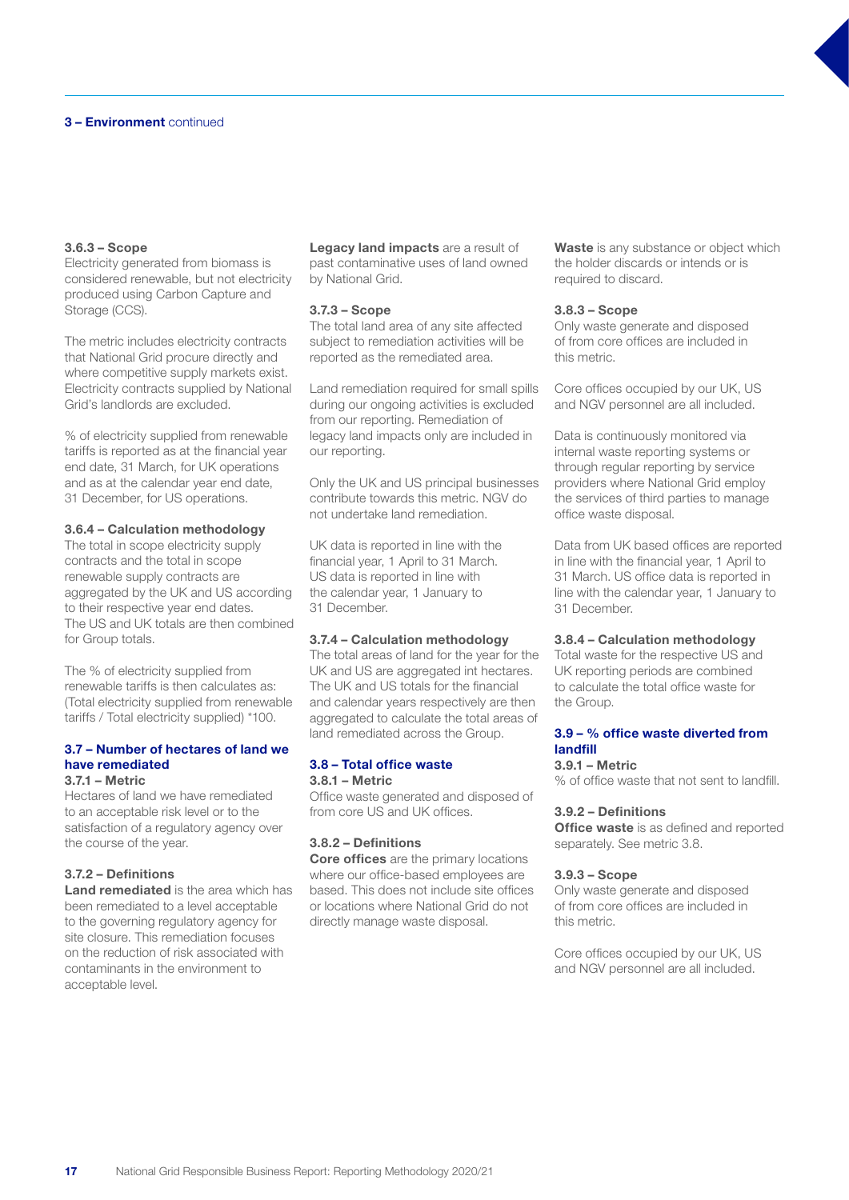#### 3.6.3 – Scope

Electricity generated from biomass is considered renewable, but not electricity produced using Carbon Capture and Storage (CCS).

The metric includes electricity contracts that National Grid procure directly and where competitive supply markets exist. Electricity contracts supplied by National Grid's landlords are excluded.

% of electricity supplied from renewable tariffs is reported as at the financial year end date, 31 March, for UK operations and as at the calendar year end date, 31 December, for US operations.

#### 3.6.4 – Calculation methodology

The total in scope electricity supply contracts and the total in scope renewable supply contracts are aggregated by the UK and US according to their respective year end dates. The US and UK totals are then combined for Group totals.

The % of electricity supplied from renewable tariffs is then calculates as: (Total electricity supplied from renewable tariffs / Total electricity supplied) \*100.

#### 3.7 – Number of hectares of land we have remediated 3.7.1 – Metric

Hectares of land we have remediated to an acceptable risk level or to the satisfaction of a regulatory agency over the course of the year.

## 3.7.2 – Definitions

Land remediated is the area which has been remediated to a level acceptable to the governing regulatory agency for site closure. This remediation focuses on the reduction of risk associated with contaminants in the environment to acceptable level.

Legacy land impacts are a result of past contaminative uses of land owned by National Grid.

#### 3.7.3 – Scope

The total land area of any site affected subject to remediation activities will be reported as the remediated area.

Land remediation required for small spills during our ongoing activities is excluded from our reporting. Remediation of legacy land impacts only are included in our reporting.

Only the UK and US principal businesses contribute towards this metric. NGV do not undertake land remediation.

UK data is reported in line with the financial year, 1 April to 31 March. US data is reported in line with the calendar year, 1 January to 31 December.

#### 3.7.4 – Calculation methodology

The total areas of land for the year for the UK and US are aggregated int hectares. The UK and US totals for the financial and calendar years respectively are then aggregated to calculate the total areas of land remediated across the Group.

## 3.8 – Total office waste 3.8.1 – Metric

Office waste generated and disposed of from core US and UK offices.

#### 3.8.2 – Definitions

Core offices are the primary locations where our office-based employees are based. This does not include site offices or locations where National Grid do not directly manage waste disposal.

Waste is any substance or object which the holder discards or intends or is required to discard.

#### 3.8.3 – Scope

Only waste generate and disposed of from core offices are included in this metric.

Core offices occupied by our UK, US and NGV personnel are all included.

Data is continuously monitored via internal waste reporting systems or through regular reporting by service providers where National Grid employ the services of third parties to manage office waste disposal.

Data from UK based offices are reported in line with the financial year, 1 April to 31 March. US office data is reported in line with the calendar year, 1 January to 31 December.

#### 3.8.4 – Calculation methodology

Total waste for the respective US and UK reporting periods are combined to calculate the total office waste for the Group.

#### 3.9 – % office waste diverted from landfill

#### 3.9.1 – Metric

% of office waste that not sent to landfill.

#### 3.9.2 – Definitions

**Office waste** is as defined and reported separately. See metric 3.8.

#### 3.9.3 – Scope

Only waste generate and disposed of from core offices are included in this metric.

Core offices occupied by our UK, US and NGV personnel are all included.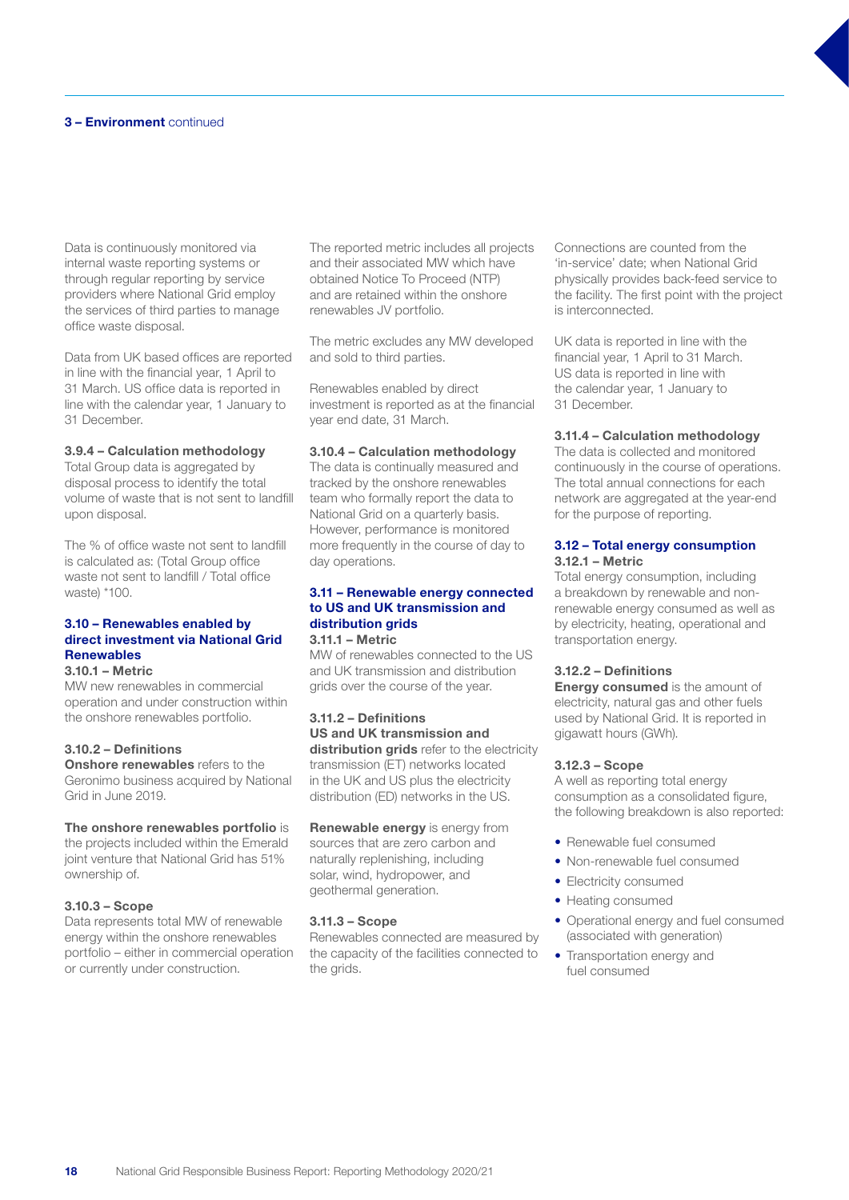Data is continuously monitored via internal waste reporting systems or through regular reporting by service providers where National Grid employ the services of third parties to manage office waste disposal.

Data from UK based offices are reported in line with the financial year, 1 April to 31 March. US office data is reported in line with the calendar year, 1 January to 31 December.

#### 3.9.4 – Calculation methodology

Total Group data is aggregated by disposal process to identify the total volume of waste that is not sent to landfill upon disposal.

The % of office waste not sent to landfill is calculated as: (Total Group office waste not sent to landfill / Total office waste) \*100.

## 3.10 – Renewables enabled by direct investment via National Grid **Renewables**

## 3.10.1 – Metric

MW new renewables in commercial operation and under construction within the onshore renewables portfolio.

#### 3.10.2 – Definitions

**Onshore renewables** refers to the Geronimo business acquired by National Grid in June 2019.

#### The onshore renewables portfolio is

the projects included within the Emerald joint venture that National Grid has 51% ownership of.

#### 3.10.3 – Scope

Data represents total MW of renewable energy within the onshore renewables portfolio – either in commercial operation or currently under construction.

The reported metric includes all projects and their associated MW which have obtained Notice To Proceed (NTP) and are retained within the onshore renewables JV portfolio.

The metric excludes any MW developed and sold to third parties.

Renewables enabled by direct investment is reported as at the financial year end date, 31 March.

#### 3.10.4 – Calculation methodology

The data is continually measured and tracked by the onshore renewables team who formally report the data to National Grid on a quarterly basis. However, performance is monitored more frequently in the course of day to day operations.

## 3.11 – Renewable energy connected to US and UK transmission and distribution grids

## 3.11.1 – Metric

MW of renewables connected to the US and UK transmission and distribution grids over the course of the year.

## 3.11.2 – Definitions

US and UK transmission and distribution grids refer to the electricity transmission (ET) networks located in the UK and US plus the electricity distribution (ED) networks in the US.

Renewable energy is energy from sources that are zero carbon and naturally replenishing, including solar, wind, hydropower, and geothermal generation.

#### 3.11.3 – Scope

Renewables connected are measured by the capacity of the facilities connected to the grids.

Connections are counted from the 'in-service' date; when National Grid physically provides back-feed service to the facility. The first point with the project is interconnected.

UK data is reported in line with the financial year, 1 April to 31 March. US data is reported in line with the calendar year, 1 January to 31 December.

#### 3.11.4 – Calculation methodology

The data is collected and monitored continuously in the course of operations. The total annual connections for each network are aggregated at the year-end for the purpose of reporting.

## 3.12 – Total energy consumption

#### 3.12.1 – Metric

Total energy consumption, including a breakdown by renewable and nonrenewable energy consumed as well as by electricity, heating, operational and transportation energy.

#### 3.12.2 – Definitions

**Energy consumed** is the amount of electricity, natural gas and other fuels used by National Grid. It is reported in gigawatt hours (GWh).

#### 3.12.3 – Scope

A well as reporting total energy consumption as a consolidated figure, the following breakdown is also reported:

- Renewable fuel consumed
- Non-renewable fuel consumed
- Electricity consumed
- Heating consumed
- Operational energy and fuel consumed (associated with generation)
- Transportation energy and fuel consumed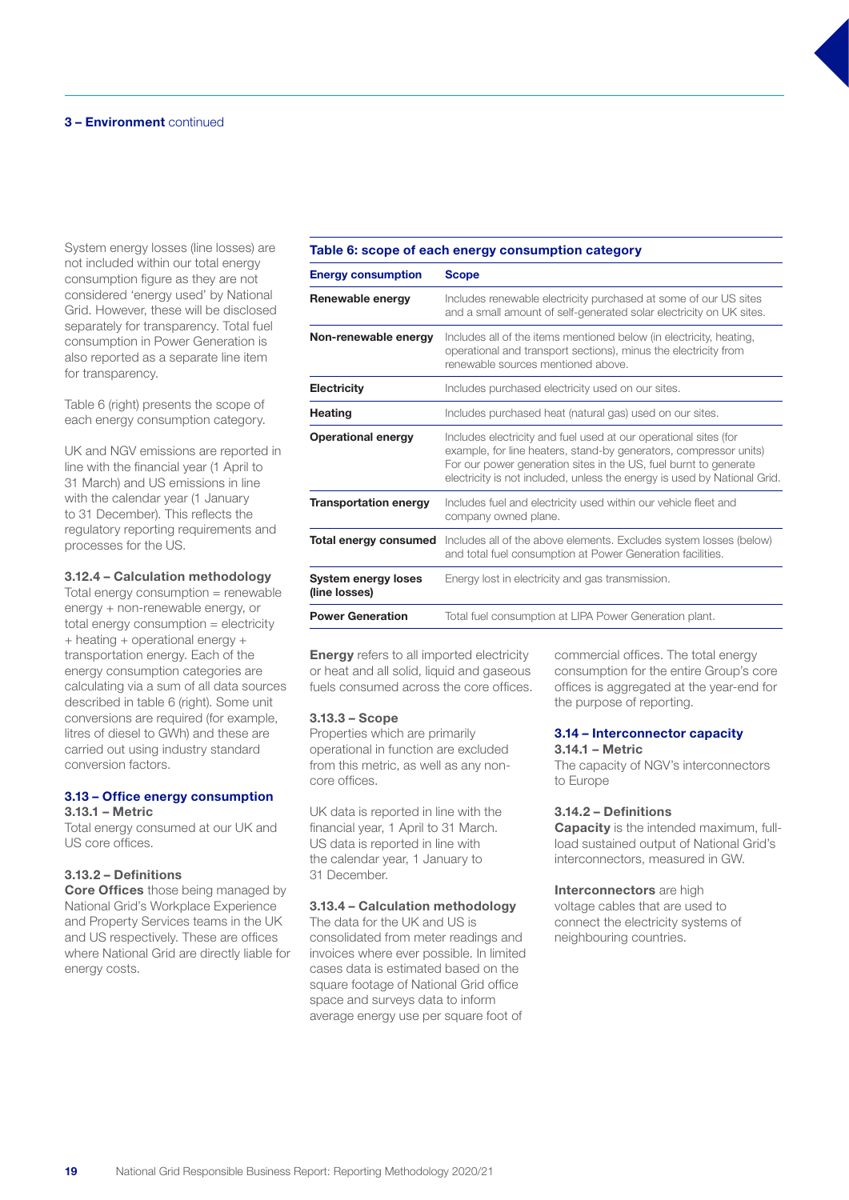System energy losses (line losses) are not included within our total energy consumption figure as they are not considered 'energy used' by National Grid. However, these will be disclosed separately for transparency. Total fuel consumption in Power Generation is also reported as a separate line item for transparency.

Table 6 (right) presents the scope of each energy consumption category.

UK and NGV emissions are reported in line with the financial year (1 April to 31 March) and US emissions in line with the calendar year (1 January to 31 December). This reflects the regulatory reporting requirements and processes for the US.

#### 3.12.4 – Calculation methodology

Total energy consumption = renewable energy + non-renewable energy, or total energy consumption = electricity + heating + operational energy + transportation energy. Each of the energy consumption categories are calculating via a sum of all data sources described in table 6 (right). Some unit conversions are required (for example, litres of diesel to GWh) and these are carried out using industry standard conversion factors.

#### 3.13 – Office energy consumption 3.13.1 – Metric

Total energy consumed at our UK and US core offices.

## 3.13.2 – Definitions

**Core Offices** those being managed by National Grid's Workplace Experience and Property Services teams in the UK and US respectively. These are offices where National Grid are directly liable for energy costs.

## Table 6: scope of each energy consumption category

| <b>Energy consumption</b>            | <b>Scope</b>                                                                                                                                                                                                                                                                          |
|--------------------------------------|---------------------------------------------------------------------------------------------------------------------------------------------------------------------------------------------------------------------------------------------------------------------------------------|
| Renewable energy                     | Includes renewable electricity purchased at some of our US sites<br>and a small amount of self-generated solar electricity on UK sites.                                                                                                                                               |
| Non-renewable energy                 | Includes all of the items mentioned below (in electricity, heating,<br>operational and transport sections), minus the electricity from<br>renewable sources mentioned above.                                                                                                          |
| <b>Electricity</b>                   | Includes purchased electricity used on our sites.                                                                                                                                                                                                                                     |
| <b>Heating</b>                       | Includes purchased heat (natural gas) used on our sites.                                                                                                                                                                                                                              |
| <b>Operational energy</b>            | Includes electricity and fuel used at our operational sites (for<br>example, for line heaters, stand-by generators, compressor units)<br>For our power generation sites in the US, fuel burnt to generate<br>electricity is not included, unless the energy is used by National Grid. |
| <b>Transportation energy</b>         | Includes fuel and electricity used within our vehicle fleet and<br>company owned plane.                                                                                                                                                                                               |
| Total energy consumed                | Includes all of the above elements. Excludes system losses (below)<br>and total fuel consumption at Power Generation facilities.                                                                                                                                                      |
| System energy loses<br>(line losses) | Energy lost in electricity and gas transmission.                                                                                                                                                                                                                                      |
| <b>Power Generation</b>              | Total fuel consumption at LIPA Power Generation plant.                                                                                                                                                                                                                                |

**Energy** refers to all imported electricity or heat and all solid, liquid and gaseous fuels consumed across the core offices.

#### 3.13.3 – Scope

Properties which are primarily operational in function are excluded from this metric, as well as any noncore offices.

UK data is reported in line with the financial year, 1 April to 31 March. US data is reported in line with the calendar year, 1 January to 31 December.

#### 3.13.4 – Calculation methodology

The data for the UK and US is consolidated from meter readings and invoices where ever possible. In limited cases data is estimated based on the square footage of National Grid office space and surveys data to inform average energy use per square foot of

commercial offices. The total energy consumption for the entire Group's core offices is aggregated at the year-end for the purpose of reporting.

## 3.14 – Interconnector capacity

#### 3.14.1 – Metric

The capacity of NGV's interconnectors to Europe

#### 3.14.2 – Definitions

Capacity is the intended maximum, fullload sustained output of National Grid's interconnectors, measured in GW.

#### Interconnectors are high

voltage cables that are used to connect the electricity systems of neighbouring countries.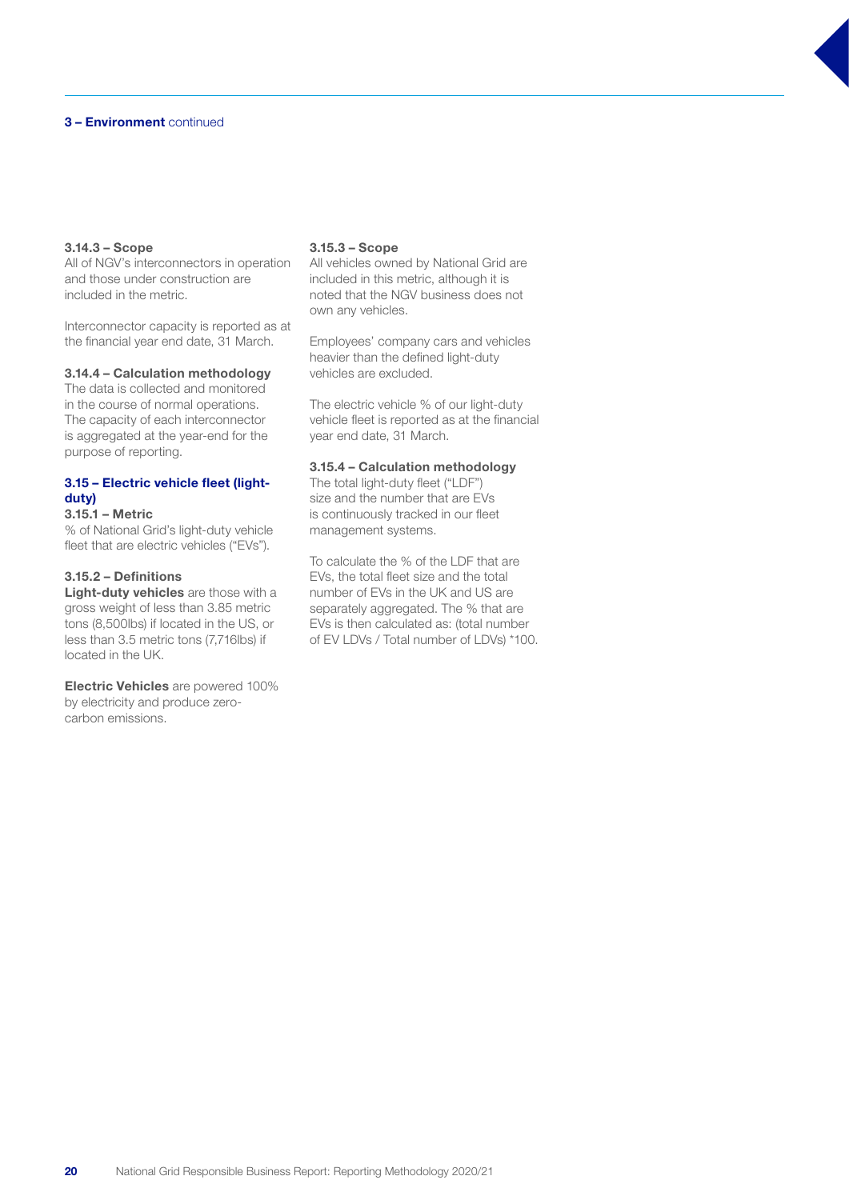#### 3.14.3 – Scope

All of NGV's interconnectors in operation and those under construction are included in the metric.

Interconnector capacity is reported as at the financial year end date, 31 March.

#### 3.14.4 – Calculation methodology

The data is collected and monitored in the course of normal operations. The capacity of each interconnector is aggregated at the year-end for the purpose of reporting.

## 3.15 – Electric vehicle fleet (lightduty)

## 3.15.1 – Metric

% of National Grid's light-duty vehicle fleet that are electric vehicles ("EVs").

### 3.15.2 – Definitions

Light-duty vehicles are those with a gross weight of less than 3.85 metric tons (8,500lbs) if located in the US, or less than 3.5 metric tons (7,716lbs) if located in the UK.

Electric Vehicles are powered 100% by electricity and produce zerocarbon emissions.

#### 3.15.3 – Scope

All vehicles owned by National Grid are included in this metric, although it is noted that the NGV business does not own any vehicles.

Employees' company cars and vehicles heavier than the defined light-duty vehicles are excluded.

The electric vehicle % of our light-duty vehicle fleet is reported as at the financial year end date, 31 March.

#### 3.15.4 – Calculation methodology

The total light-duty fleet ("LDF") size and the number that are EVs is continuously tracked in our fleet management systems.

To calculate the % of the LDF that are EVs, the total fleet size and the total number of EVs in the UK and US are separately aggregated. The % that are EVs is then calculated as: (total number of EV LDVs / Total number of LDVs) \*100.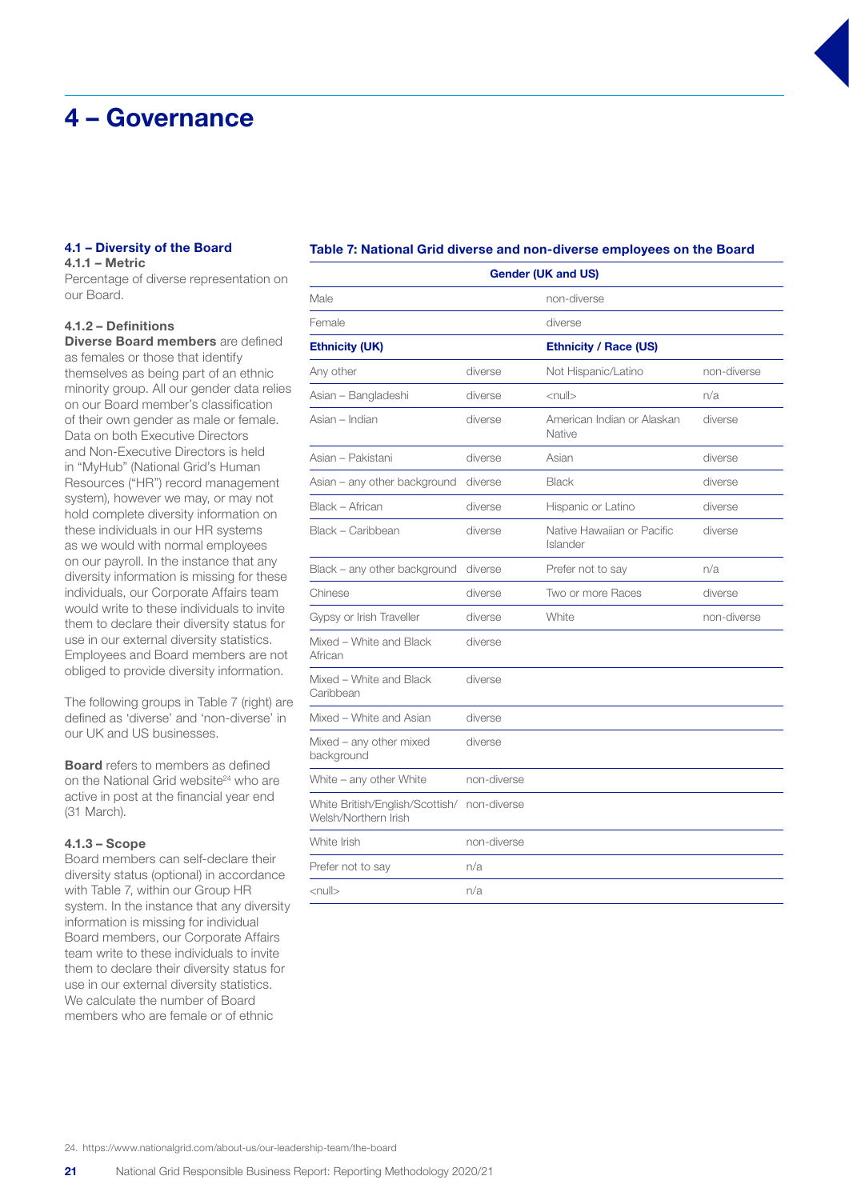## 4 – Governance

## 4.1 – Diversity of the Board

4.1.1 – Metric Percentage of diverse representation on our Board.

## 4.1.2 – Definitions

Diverse Board members are defined as females or those that identify themselves as being part of an ethnic minority group. All our gender data relies on our Board member's classification of their own gender as male or female. Data on both Executive Directors and Non-Executive Directors is held in "MyHub" (National Grid's Human Resources ("HR") record management system), however we may, or may not hold complete diversity information on these individuals in our HR systems as we would with normal employees on our payroll. In the instance that any diversity information is missing for these individuals, our Corporate Affairs team would write to these individuals to invite them to declare their diversity status for use in our external diversity statistics. Employees and Board members are not obliged to provide diversity information.

The following groups in Table 7 (right) are defined as 'diverse' and 'non-diverse' in our UK and US businesses.

Board refers to members as defined on the National Grid website<sup>24</sup> who are active in post at the financial year end (31 March).

#### 4.1.3 – Scope

Board members can self-declare their diversity status (optional) in accordance with Table 7, within our Group HR system. In the instance that any diversity information is missing for individual Board members, our Corporate Affairs team write to these individuals to invite them to declare their diversity status for use in our external diversity statistics. We calculate the number of Board members who are female or of ethnic

#### Table 7: National Grid diverse and non-diverse employees on the Board

| <b>Gender (UK and US)</b>                               |             |                                        |             |  |
|---------------------------------------------------------|-------------|----------------------------------------|-------------|--|
| Male                                                    |             | non-diverse                            |             |  |
| Female                                                  |             | diverse                                |             |  |
| <b>Ethnicity (UK)</b>                                   |             | <b>Ethnicity / Race (US)</b>           |             |  |
| Any other                                               | diverse     | Not Hispanic/Latino                    | non-diverse |  |
| Asian - Bangladeshi                                     | diverse     | $\leq$ null $>$                        | n/a         |  |
| Asian - Indian                                          | diverse     | American Indian or Alaskan<br>Native   | diverse     |  |
| Asian – Pakistani                                       | diverse     | Asian                                  | diverse     |  |
| Asian - any other background                            | diverse     | <b>Black</b>                           | diverse     |  |
| Black - African                                         | diverse     | Hispanic or Latino                     | diverse     |  |
| Black - Caribbean                                       | diverse     | Native Hawaiian or Pacific<br>Islander | diverse     |  |
| Black - any other background                            | diverse     | Prefer not to say                      | n/a         |  |
| Chinese                                                 | diverse     | Two or more Races                      | diverse     |  |
| Gypsy or Irish Traveller                                | diverse     | White                                  | non-diverse |  |
| Mixed - White and Black<br>African                      | diverse     |                                        |             |  |
| Mixed - White and Black<br>Caribbean                    | diverse     |                                        |             |  |
| Mixed - White and Asian                                 | diverse     |                                        |             |  |
| Mixed - any other mixed<br>background                   | diverse     |                                        |             |  |
| White $-$ any other White                               | non-diverse |                                        |             |  |
| White British/English/Scottish/<br>Welsh/Northern Irish | non-diverse |                                        |             |  |
| White Irish                                             | non-diverse |                                        |             |  |
| Prefer not to say                                       | n/a         |                                        |             |  |
| $<$ null $>$                                            | n/a         |                                        |             |  |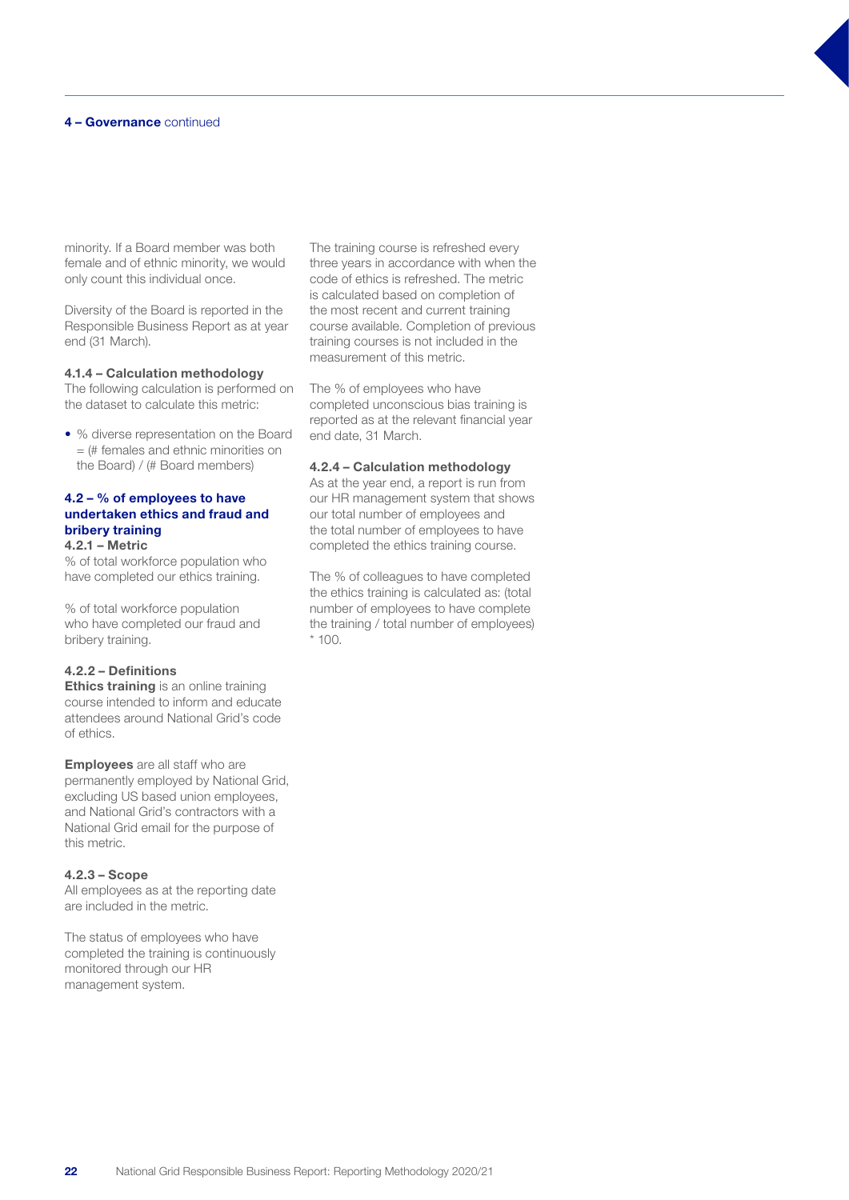#### 4 – Governance continued

minority. If a Board member was both female and of ethnic minority, we would only count this individual once.

Diversity of the Board is reported in the Responsible Business Report as at year end (31 March).

#### 4.1.4 – Calculation methodology

The following calculation is performed on the dataset to calculate this metric:

• % diverse representation on the Board = (# females and ethnic minorities on the Board) / (# Board members)

#### 4.2 – % of employees to have undertaken ethics and fraud and bribery training 4.2.1 – Metric

% of total workforce population who

have completed our ethics training.

% of total workforce population who have completed our fraud and bribery training.

#### 4.2.2 – Definitions

**Ethics training** is an online training course intended to inform and educate attendees around National Grid's code of ethics.

**Employees** are all staff who are permanently employed by National Grid, excluding US based union employees, and National Grid's contractors with a National Grid email for the purpose of this metric.

#### 4.2.3 – Scope

All employees as at the reporting date are included in the metric.

The status of employees who have completed the training is continuously monitored through our HR management system.

The training course is refreshed every three years in accordance with when the code of ethics is refreshed. The metric is calculated based on completion of the most recent and current training course available. Completion of previous training courses is not included in the measurement of this metric.

The % of employees who have completed unconscious bias training is reported as at the relevant financial year end date, 31 March.

#### 4.2.4 – Calculation methodology

As at the year end, a report is run from our HR management system that shows our total number of employees and the total number of employees to have completed the ethics training course.

The % of colleagues to have completed the ethics training is calculated as: (total number of employees to have complete the training / total number of employees) \* 100.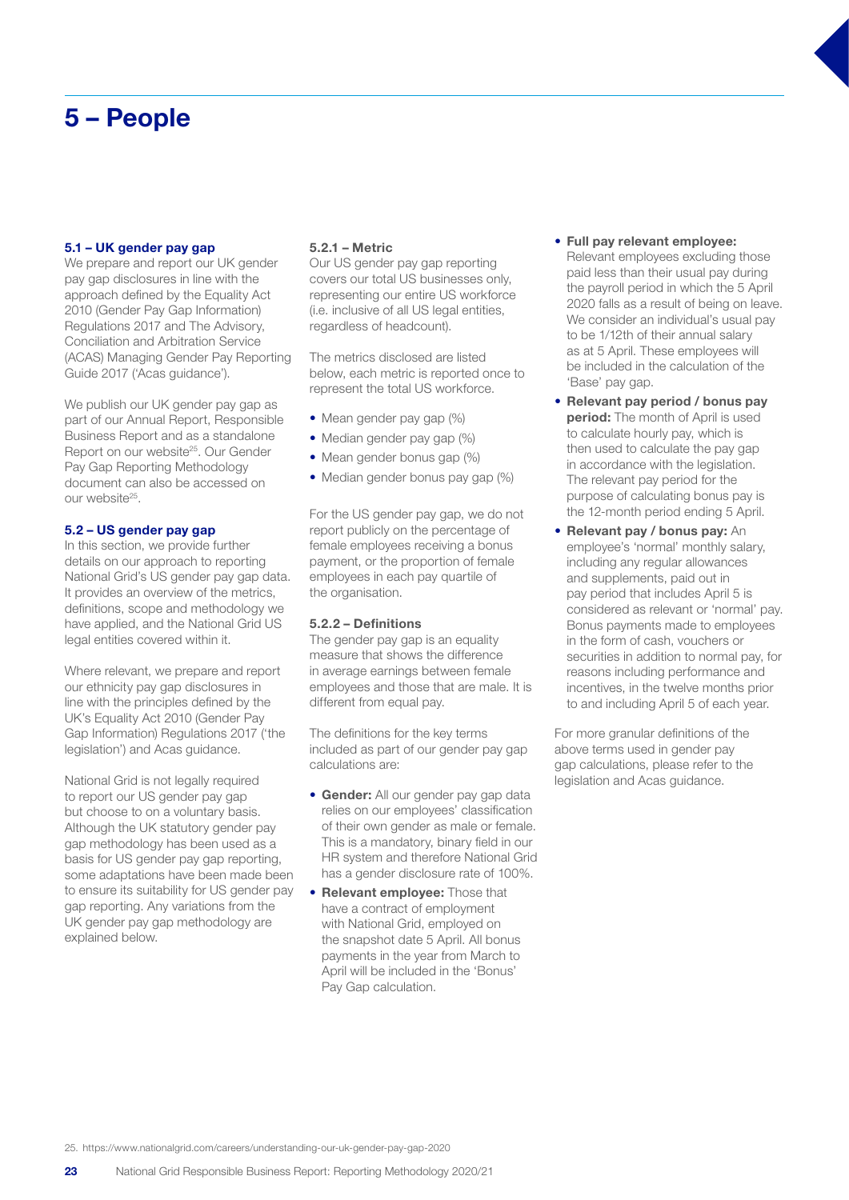## 5 – People

#### 5.1 – UK gender pay gap

We prepare and report our UK gender pay gap disclosures in line with the approach defined by the Equality Act 2010 (Gender Pay Gap Information) Regulations 2017 and The Advisory, Conciliation and Arbitration Service (ACAS) Managing Gender Pay Reporting Guide 2017 ('Acas guidance').

We publish our UK gender pay gap as part of our Annual Report, Responsible Business Report and as a standalone Report on our website<sup>25</sup>. Our Gender Pay Gap Reporting Methodology document can also be accessed on our website25.

#### 5.2 – US gender pay gap

In this section, we provide further details on our approach to reporting National Grid's US gender pay gap data. It provides an overview of the metrics, definitions, scope and methodology we have applied, and the National Grid US legal entities covered within it.

Where relevant, we prepare and report our ethnicity pay gap disclosures in line with the principles defined by the UK's Equality Act 2010 (Gender Pay Gap Information) Regulations 2017 ('the legislation') and Acas guidance.

National Grid is not legally required to report our US gender pay gap but choose to on a voluntary basis. Although the UK statutory gender pay gap methodology has been used as a basis for US gender pay gap reporting, some adaptations have been made been to ensure its suitability for US gender pay gap reporting. Any variations from the UK gender pay gap methodology are explained below.

#### 5.2.1 – Metric

Our US gender pay gap reporting covers our total US businesses only, representing our entire US workforce (i.e. inclusive of all US legal entities, regardless of headcount).

The metrics disclosed are listed below, each metric is reported once to represent the total US workforce.

- Mean gender pay gap (%)
- Median gender pay gap (%)
- Mean gender bonus gap (%)
- Median gender bonus pay gap (%)

For the US gender pay gap, we do not report publicly on the percentage of female employees receiving a bonus payment, or the proportion of female employees in each pay quartile of the organisation.

#### 5.2.2 – Definitions

The gender pay gap is an equality measure that shows the difference in average earnings between female employees and those that are male. It is different from equal pay.

The definitions for the key terms included as part of our gender pay gap calculations are:

- Gender: All our gender pay gap data relies on our employees' classification of their own gender as male or female. This is a mandatory, binary field in our HR system and therefore National Grid has a gender disclosure rate of 100%.
- Relevant employee: Those that have a contract of employment with National Grid, employed on the snapshot date 5 April. All bonus payments in the year from March to April will be included in the 'Bonus' Pay Gap calculation.

## • Full pay relevant employee: Relevant employees excluding those

paid less than their usual pay during the payroll period in which the 5 April 2020 falls as a result of being on leave. We consider an individual's usual pay to be 1/12th of their annual salary as at 5 April. These employees will be included in the calculation of the 'Base' pay gap.

- Relevant pay period / bonus pay period: The month of April is used to calculate hourly pay, which is then used to calculate the pay gap in accordance with the legislation. The relevant pay period for the purpose of calculating bonus pay is the 12-month period ending 5 April.
- Relevant pay / bonus pay: An employee's 'normal' monthly salary, including any regular allowances and supplements, paid out in pay period that includes April 5 is considered as relevant or 'normal' pay. Bonus payments made to employees in the form of cash, vouchers or securities in addition to normal pay, for reasons including performance and incentives, in the twelve months prior to and including April 5 of each year.

For more granular definitions of the above terms used in gender pay gap calculations, please refer to the legislation and Acas guidance.

25. https://www.nationalgrid.com/careers/understanding-our-uk-gender-pay-gap-2020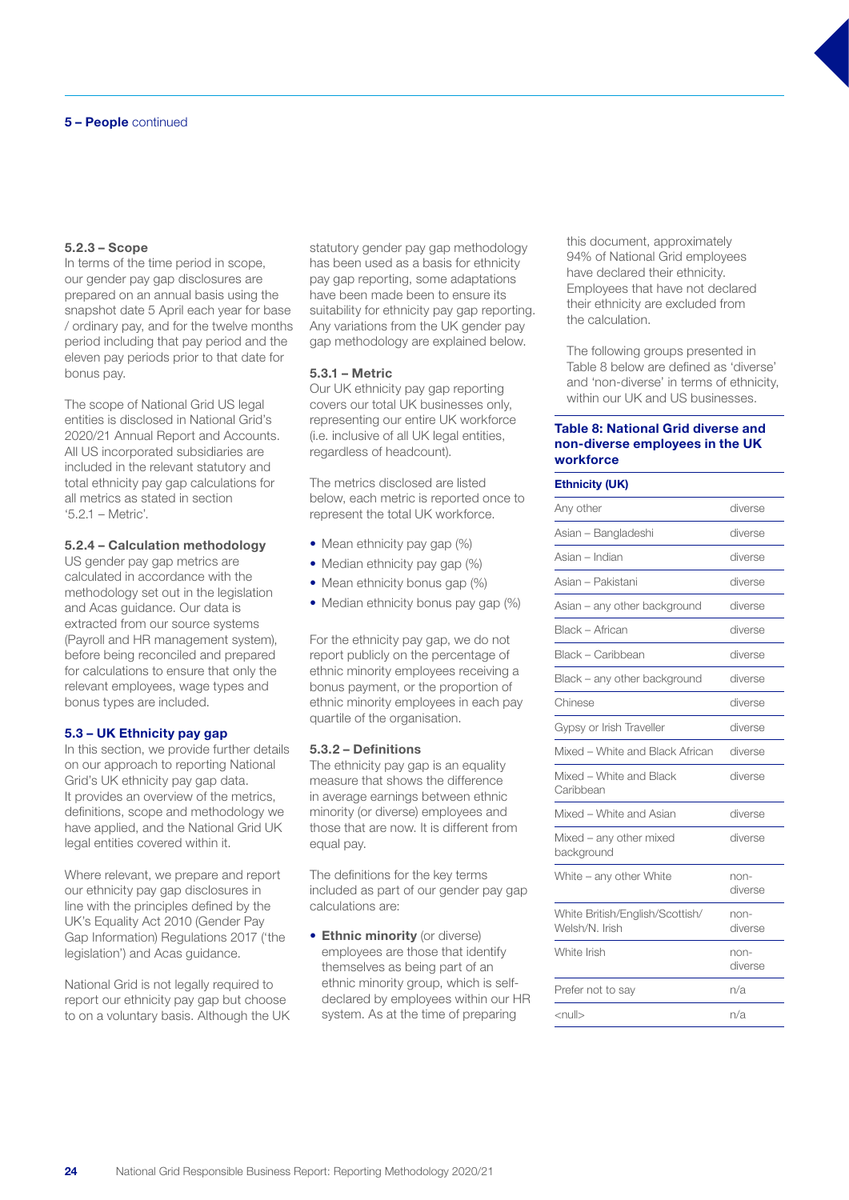#### 5 – People continued

#### 5.2.3 – Scope

In terms of the time period in scope, our gender pay gap disclosures are prepared on an annual basis using the snapshot date 5 April each year for base / ordinary pay, and for the twelve months period including that pay period and the eleven pay periods prior to that date for bonus pay.

The scope of National Grid US legal entities is disclosed in National Grid's 2020/21 Annual Report and Accounts. All US incorporated subsidiaries are included in the relevant statutory and total ethnicity pay gap calculations for all metrics as stated in section '5.2.1 – Metric'.

#### 5.2.4 – Calculation methodology

US gender pay gap metrics are calculated in accordance with the methodology set out in the legislation and Acas guidance. Our data is extracted from our source systems (Payroll and HR management system), before being reconciled and prepared for calculations to ensure that only the relevant employees, wage types and bonus types are included.

#### 5.3 – UK Ethnicity pay gap

In this section, we provide further details on our approach to reporting National Grid's UK ethnicity pay gap data. It provides an overview of the metrics, definitions, scope and methodology we have applied, and the National Grid UK legal entities covered within it.

Where relevant, we prepare and report our ethnicity pay gap disclosures in line with the principles defined by the UK's Equality Act 2010 (Gender Pay Gap Information) Regulations 2017 ('the legislation') and Acas guidance.

National Grid is not legally required to report our ethnicity pay gap but choose to on a voluntary basis. Although the UK

statutory gender pay gap methodology has been used as a basis for ethnicity pay gap reporting, some adaptations have been made been to ensure its suitability for ethnicity pay gap reporting. Any variations from the UK gender pay gap methodology are explained below.

#### 5.3.1 – Metric

Our UK ethnicity pay gap reporting covers our total UK businesses only, representing our entire UK workforce (i.e. inclusive of all UK legal entities, regardless of headcount).

The metrics disclosed are listed below, each metric is reported once to represent the total UK workforce.

- Mean ethnicity pay gap (%)
- Median ethnicity pay gap (%)
- Mean ethnicity bonus gap (%)
- Median ethnicity bonus pay gap (%)

For the ethnicity pay gap, we do not report publicly on the percentage of ethnic minority employees receiving a bonus payment, or the proportion of ethnic minority employees in each pay quartile of the organisation.

#### 5.3.2 – Definitions

The ethnicity pay gap is an equality measure that shows the difference in average earnings between ethnic minority (or diverse) employees and those that are now. It is different from equal pay.

The definitions for the key terms included as part of our gender pay gap calculations are:

• Ethnic minority (or diverse) employees are those that identify themselves as being part of an ethnic minority group, which is selfdeclared by employees within our HR system. As at the time of preparing

this document, approximately 94% of National Grid employees have declared their ethnicity. Employees that have not declared their ethnicity are excluded from the calculation.

The following groups presented in Table 8 below are defined as 'diverse' and 'non-diverse' in terms of ethnicity, within our UK and US businesses.

#### Table 8: National Grid diverse and non-diverse employees in the UK workforce

#### Ethnicity (UK)

| Any other                                         | diverse         |
|---------------------------------------------------|-----------------|
| Asian – Bangladeshi                               | diverse         |
| Asian – Indian                                    | diverse         |
| Asian – Pakistani                                 | diverse         |
| Asian - any other background                      | diverse         |
| Black - African                                   | diverse         |
| Black – Caribbean                                 | diverse         |
| Black - any other background                      | diverse         |
| Chinese                                           | diverse         |
| Gypsy or Irish Traveller                          | diverse         |
| Mixed - White and Black African                   | diverse         |
| Mixed - White and Black<br>Caribbean              | diverse         |
| Mixed - White and Asian                           | diverse         |
| Mixed - any other mixed<br>background             | diverse         |
| White - any other White                           | non-<br>diverse |
| White British/English/Scottish/<br>Welsh/N, Irish | non-<br>diverse |
| White Irish                                       | non-<br>diverse |
| Prefer not to say                                 | n/a             |
| $\leq$ null $>$                                   | n/a             |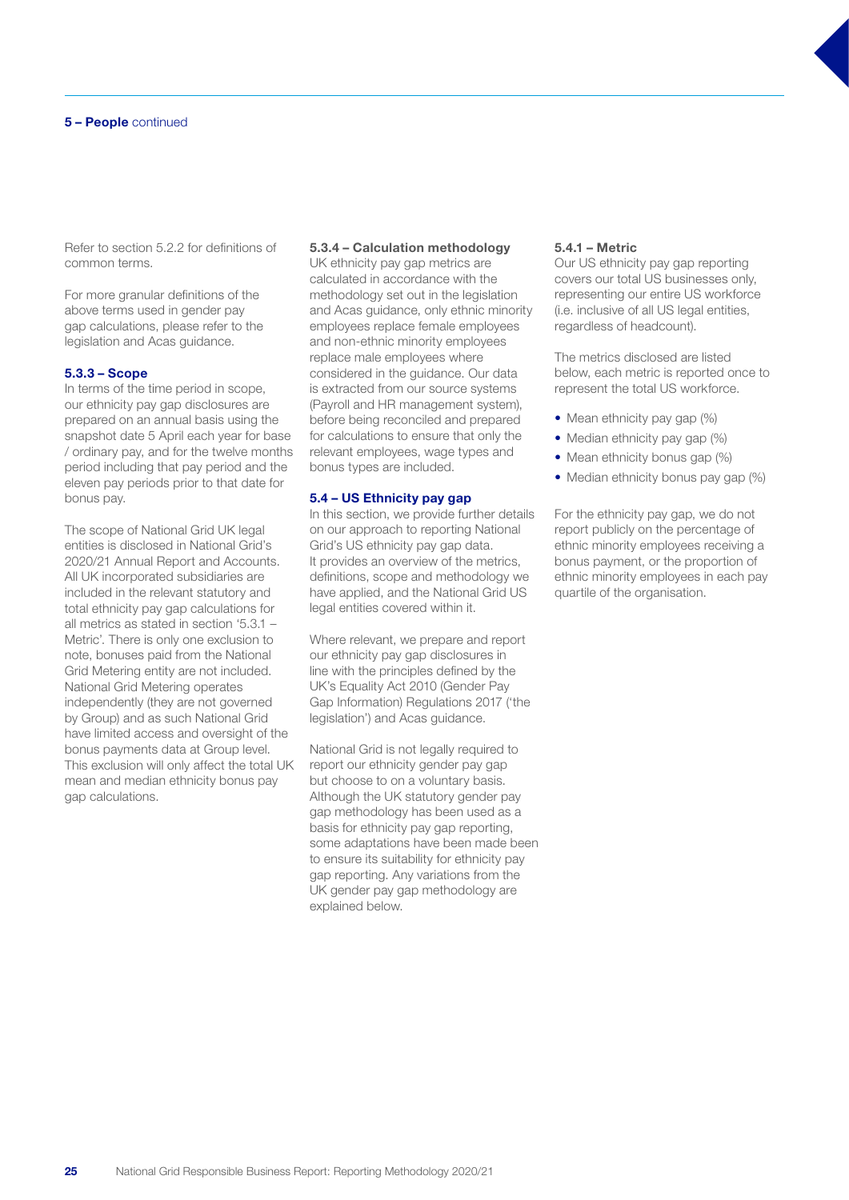Refer to section 5.2.2 for definitions of common terms.

For more granular definitions of the above terms used in gender pay gap calculations, please refer to the legislation and Acas guidance.

#### 5.3.3 – Scope

In terms of the time period in scope, our ethnicity pay gap disclosures are prepared on an annual basis using the snapshot date 5 April each year for base / ordinary pay, and for the twelve months period including that pay period and the eleven pay periods prior to that date for bonus pay.

The scope of National Grid UK legal entities is disclosed in National Grid's 2020/21 Annual Report and Accounts. All UK incorporated subsidiaries are included in the relevant statutory and total ethnicity pay gap calculations for all metrics as stated in section '5.3.1 – Metric'. There is only one exclusion to note, bonuses paid from the National Grid Metering entity are not included. National Grid Metering operates independently (they are not governed by Group) and as such National Grid have limited access and oversight of the bonus payments data at Group level. This exclusion will only affect the total UK mean and median ethnicity bonus pay gap calculations.

#### 5.3.4 – Calculation methodology

UK ethnicity pay gap metrics are calculated in accordance with the methodology set out in the legislation and Acas guidance, only ethnic minority employees replace female employees and non-ethnic minority employees replace male employees where considered in the guidance. Our data is extracted from our source systems (Payroll and HR management system), before being reconciled and prepared for calculations to ensure that only the relevant employees, wage types and bonus types are included.

#### 5.4 – US Ethnicity pay gap

In this section, we provide further details on our approach to reporting National Grid's US ethnicity pay gap data. It provides an overview of the metrics, definitions, scope and methodology we have applied, and the National Grid US legal entities covered within it.

Where relevant, we prepare and report our ethnicity pay gap disclosures in line with the principles defined by the UK's Equality Act 2010 (Gender Pay Gap Information) Regulations 2017 ('the legislation') and Acas guidance.

National Grid is not legally required to report our ethnicity gender pay gap but choose to on a voluntary basis. Although the UK statutory gender pay gap methodology has been used as a basis for ethnicity pay gap reporting, some adaptations have been made been to ensure its suitability for ethnicity pay gap reporting. Any variations from the UK gender pay gap methodology are explained below.

#### 5.4.1 – Metric

Our US ethnicity pay gap reporting covers our total US businesses only, representing our entire US workforce (i.e. inclusive of all US legal entities, regardless of headcount).

The metrics disclosed are listed below, each metric is reported once to represent the total US workforce.

- Mean ethnicity pay gap (%)
- Median ethnicity pay gap (%)
- Mean ethnicity bonus gap (%)
- Median ethnicity bonus pay gap (%)

For the ethnicity pay gap, we do not report publicly on the percentage of ethnic minority employees receiving a bonus payment, or the proportion of ethnic minority employees in each pay quartile of the organisation.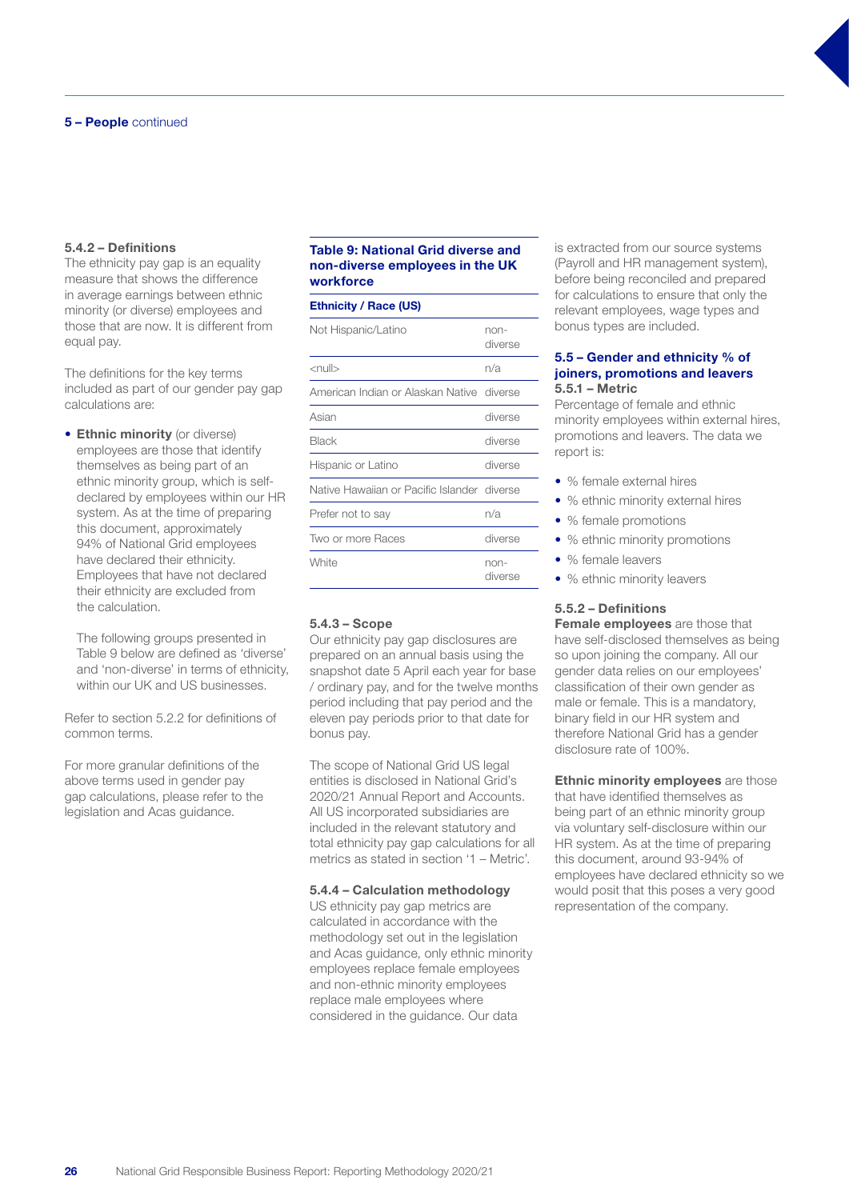### 5.4.2 – Definitions

The ethnicity pay gap is an equality measure that shows the difference in average earnings between ethnic minority (or diverse) employees and those that are now. It is different from equal pay.

The definitions for the key terms included as part of our gender pay gap calculations are:

**• Ethnic minority** (or diverse) employees are those that identify themselves as being part of an ethnic minority group, which is selfdeclared by employees within our HR system. As at the time of preparing this document, approximately 94% of National Grid employees have declared their ethnicity. Employees that have not declared their ethnicity are excluded from the calculation.

The following groups presented in Table 9 below are defined as 'diverse' and 'non-diverse' in terms of ethnicity, within our UK and US businesses.

Refer to section 5.2.2 for definitions of common terms.

For more granular definitions of the above terms used in gender pay gap calculations, please refer to the legislation and Acas guidance.

## Table 9: National Grid diverse and non-diverse employees in the UK workforce

## Ethnicity / Race (US)

| Not Hispanic/Latino                         | non-<br>diverse |
|---------------------------------------------|-----------------|
| $<$ null $>$                                | n/a             |
| American Indian or Alaskan Native diverse   |                 |
| Asian                                       | diverse         |
| <b>Black</b>                                | diverse         |
| Hispanic or Latino                          | diverse         |
| Native Hawaiian or Pacific Islander diverse |                 |
| Preter not to say                           | n/a             |
| Two or more Races                           | diverse         |
| White                                       | non-<br>diverse |

#### 5.4.3 – Scope

Our ethnicity pay gap disclosures are prepared on an annual basis using the snapshot date 5 April each year for base / ordinary pay, and for the twelve months period including that pay period and the eleven pay periods prior to that date for bonus pay.

The scope of National Grid US legal entities is disclosed in National Grid's 2020/21 Annual Report and Accounts. All US incorporated subsidiaries are included in the relevant statutory and total ethnicity pay gap calculations for all metrics as stated in section '1 – Metric'.

#### 5.4.4 – Calculation methodology

US ethnicity pay gap metrics are calculated in accordance with the methodology set out in the legislation and Acas guidance, only ethnic minority employees replace female employees and non-ethnic minority employees replace male employees where considered in the guidance. Our data

is extracted from our source systems (Payroll and HR management system), before being reconciled and prepared for calculations to ensure that only the relevant employees, wage types and bonus types are included.

#### 5.5 – Gender and ethnicity % of joiners, promotions and leavers 5.5.1 – Metric

Percentage of female and ethnic minority employees within external hires, promotions and leavers. The data we report is:

- % female external hires
- % ethnic minority external hires
- % female promotions
- % ethnic minority promotions
- % female leavers
- % ethnic minority leavers

## 5.5.2 – Definitions

Female emplovees are those that have self-disclosed themselves as being so upon joining the company. All our gender data relies on our employees' classification of their own gender as male or female. This is a mandatory, binary field in our HR system and therefore National Grid has a gender disclosure rate of 100%.

**Ethnic minority employees** are those that have identified themselves as being part of an ethnic minority group via voluntary self-disclosure within our HR system. As at the time of preparing this document, around 93-94% of employees have declared ethnicity so we would posit that this poses a very good representation of the company.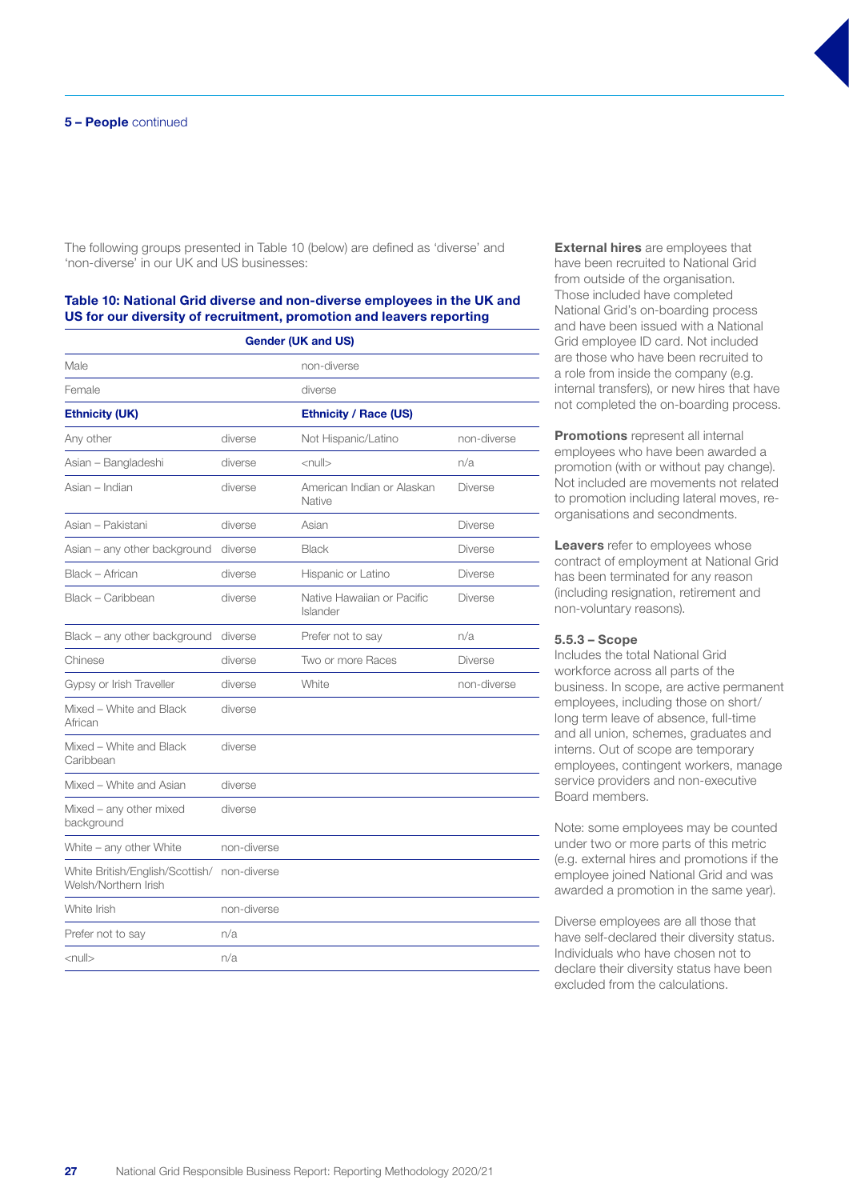The following groups presented in Table 10 (below) are defined as 'diverse' and 'non-diverse' in our UK and US businesses:

## Table 10: National Grid diverse and non-diverse employees in the UK and US for our diversity of recruitment, promotion and leavers reporting

| <b>Gender (UK and US)</b>                               |             |                                        |                |  |
|---------------------------------------------------------|-------------|----------------------------------------|----------------|--|
| Male                                                    |             | non-diverse                            |                |  |
| Female                                                  |             | diverse                                |                |  |
| <b>Ethnicity (UK)</b>                                   |             | <b>Ethnicity / Race (US)</b>           |                |  |
| Any other                                               | diverse     | Not Hispanic/Latino                    | non-diverse    |  |
| Asian - Bangladeshi                                     | diverse     | $\leq$ null $>$                        | n/a            |  |
| Asian - Indian                                          | diverse     | American Indian or Alaskan<br>Native   | <b>Diverse</b> |  |
| Asian - Pakistani                                       | diverse     | Asian                                  | <b>Diverse</b> |  |
| Asian - any other background                            | diverse     | <b>Black</b>                           | <b>Diverse</b> |  |
| Black - African                                         | diverse     | Hispanic or Latino                     | <b>Diverse</b> |  |
| Black - Caribbean                                       | diverse     | Native Hawaiian or Pacific<br>Islander | <b>Diverse</b> |  |
| Black - any other background                            | diverse     | Prefer not to say                      | n/a            |  |
| Chinese                                                 | diverse     | Two or more Races                      | <b>Diverse</b> |  |
| Gypsy or Irish Traveller                                | diverse     | White                                  | non-diverse    |  |
| Mixed - White and Black<br>African                      | diverse     |                                        |                |  |
| Mixed - White and Black<br>Caribbean                    | diverse     |                                        |                |  |
| Mixed - White and Asian                                 | diverse     |                                        |                |  |
| Mixed - any other mixed<br>background                   | diverse     |                                        |                |  |
| White - any other White                                 | non-diverse |                                        |                |  |
| White British/English/Scottish/<br>Welsh/Northern Irish | non-diverse |                                        |                |  |
| White Irish                                             | non-diverse |                                        |                |  |
| Prefer not to say                                       | n/a         |                                        |                |  |
| <null></null>                                           | n/a         |                                        |                |  |

**External hires** are employees that have been recruited to National Grid from outside of the organisation. Those included have completed National Grid's on-boarding process and have been issued with a National Grid employee ID card. Not included are those who have been recruited to a role from inside the company (e.g. internal transfers), or new hires that have not completed the on-boarding process.

**Promotions** represent all internal employees who have been awarded a promotion (with or without pay change). Not included are movements not related to promotion including lateral moves, reorganisations and secondments.

Leavers refer to employees whose contract of employment at National Grid has been terminated for any reason (including resignation, retirement and non-voluntary reasons).

#### 5.5.3 – Scope

Includes the total National Grid workforce across all parts of the business. In scope, are active permanent employees, including those on short/ long term leave of absence, full-time and all union, schemes, graduates and interns. Out of scope are temporary employees, contingent workers, manage service providers and non-executive Board members.

Note: some employees may be counted under two or more parts of this metric (e.g. external hires and promotions if the employee joined National Grid and was awarded a promotion in the same year).

Diverse employees are all those that have self-declared their diversity status. Individuals who have chosen not to declare their diversity status have been excluded from the calculations.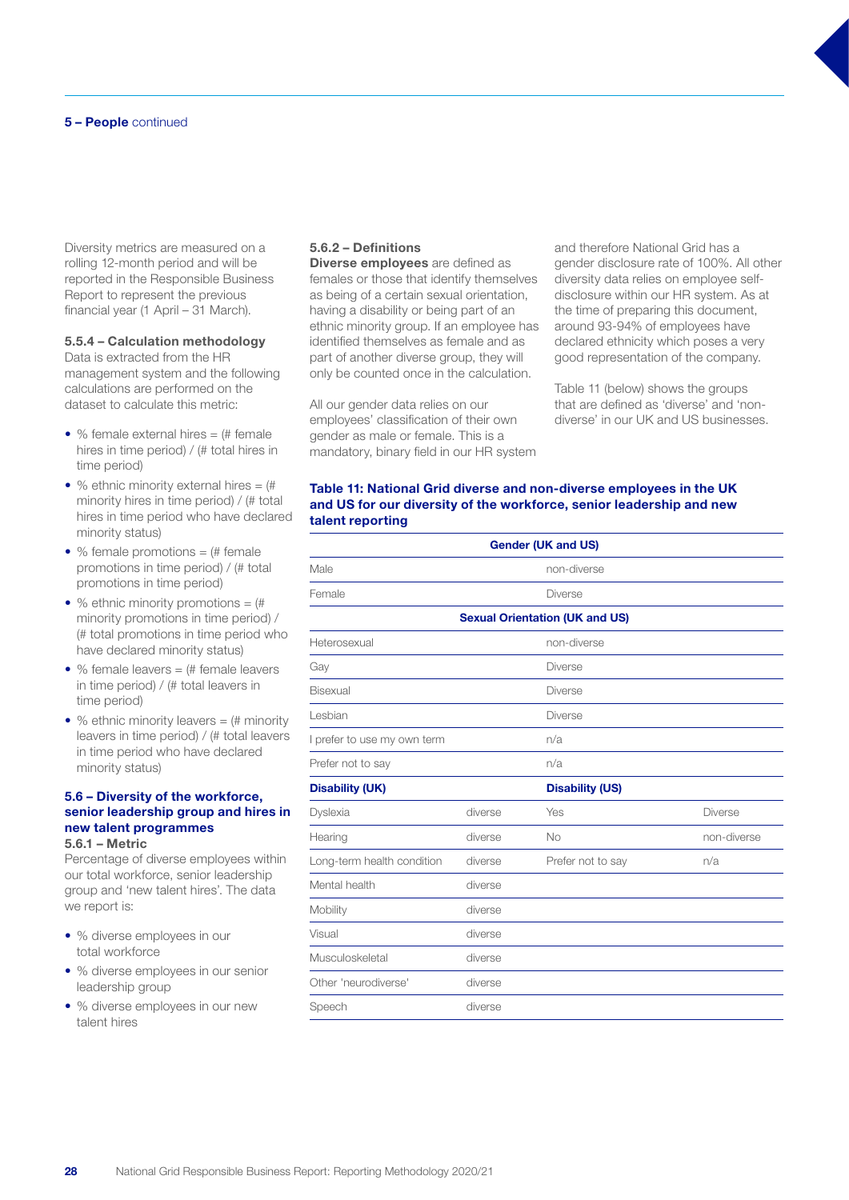#### 5 – People continued

Diversity metrics are measured on a rolling 12-month period and will be reported in the Responsible Business Report to represent the previous financial year (1 April – 31 March).

## 5.5.4 – Calculation methodology

Data is extracted from the HR management system and the following calculations are performed on the dataset to calculate this metric:

- % female external hires  $=$   $#$  female hires in time period) / (# total hires in time period)
- % ethnic minority external hires  $=$   $($   $\#$ minority hires in time period) / (# total hires in time period who have declared minority status)
- % female promotions  $=$   $#$  female promotions in time period) / (# total promotions in time period)
- % ethnic minority promotions  $=$   $($ #) minority promotions in time period) / (# total promotions in time period who have declared minority status)
- % female leavers  $=$   $#$  female leavers in time period) / (# total leavers in time period)
- % ethnic minority leavers  $=$   $#$  minority leavers in time period) / (# total leavers in time period who have declared minority status)

#### 5.6 – Diversity of the workforce, senior leadership group and hires in new talent programmes 5.6.1 – Metric

Percentage of diverse employees within our total workforce, senior leadership group and 'new talent hires'. The data we report is:

- % diverse employees in our total workforce
- % diverse employees in our senior leadership group
- % diverse employees in our new talent hires

#### 5.6.2 – Definitions

Diverse employees are defined as females or those that identify themselves as being of a certain sexual orientation, having a disability or being part of an ethnic minority group. If an employee has identified themselves as female and as part of another diverse group, they will only be counted once in the calculation.

All our gender data relies on our employees' classification of their own gender as male or female. This is a mandatory, binary field in our HR system and therefore National Grid has a gender disclosure rate of 100%. All other diversity data relies on employee selfdisclosure within our HR system. As at the time of preparing this document, around 93-94% of employees have declared ethnicity which poses a very good representation of the company.

Table 11 (below) shows the groups that are defined as 'diverse' and 'nondiverse' in our UK and US businesses.

#### Table 11: National Grid diverse and non-diverse employees in the UK and US for our diversity of the workforce, senior leadership and new talent reporting

| <b>Gender (UK and US)</b>   |         |                                       |                |  |
|-----------------------------|---------|---------------------------------------|----------------|--|
| Male                        |         | non-diverse                           |                |  |
| Female                      |         | <b>Diverse</b>                        |                |  |
|                             |         | <b>Sexual Orientation (UK and US)</b> |                |  |
| Heterosexual                |         | non-diverse                           |                |  |
| Gay                         |         | <b>Diverse</b>                        |                |  |
| <b>Bisexual</b>             |         | <b>Diverse</b>                        |                |  |
| Lesbian                     |         | <b>Diverse</b>                        |                |  |
| I prefer to use my own term |         | n/a                                   |                |  |
| Prefer not to say           |         | n/a                                   |                |  |
| <b>Disability (UK)</b>      |         | <b>Disability (US)</b>                |                |  |
| Dyslexia                    | diverse | Yes                                   | <b>Diverse</b> |  |
| Hearing                     | diverse | No                                    | non-diverse    |  |
| Long-term health condition  | diverse | Prefer not to say                     | n/a            |  |
| Mental health               | diverse |                                       |                |  |
| Mobility                    | diverse |                                       |                |  |
| Visual                      | diverse |                                       |                |  |
| Musculoskeletal             | diverse |                                       |                |  |
| Other 'neurodiverse'        | diverse |                                       |                |  |
| Speech                      | diverse |                                       |                |  |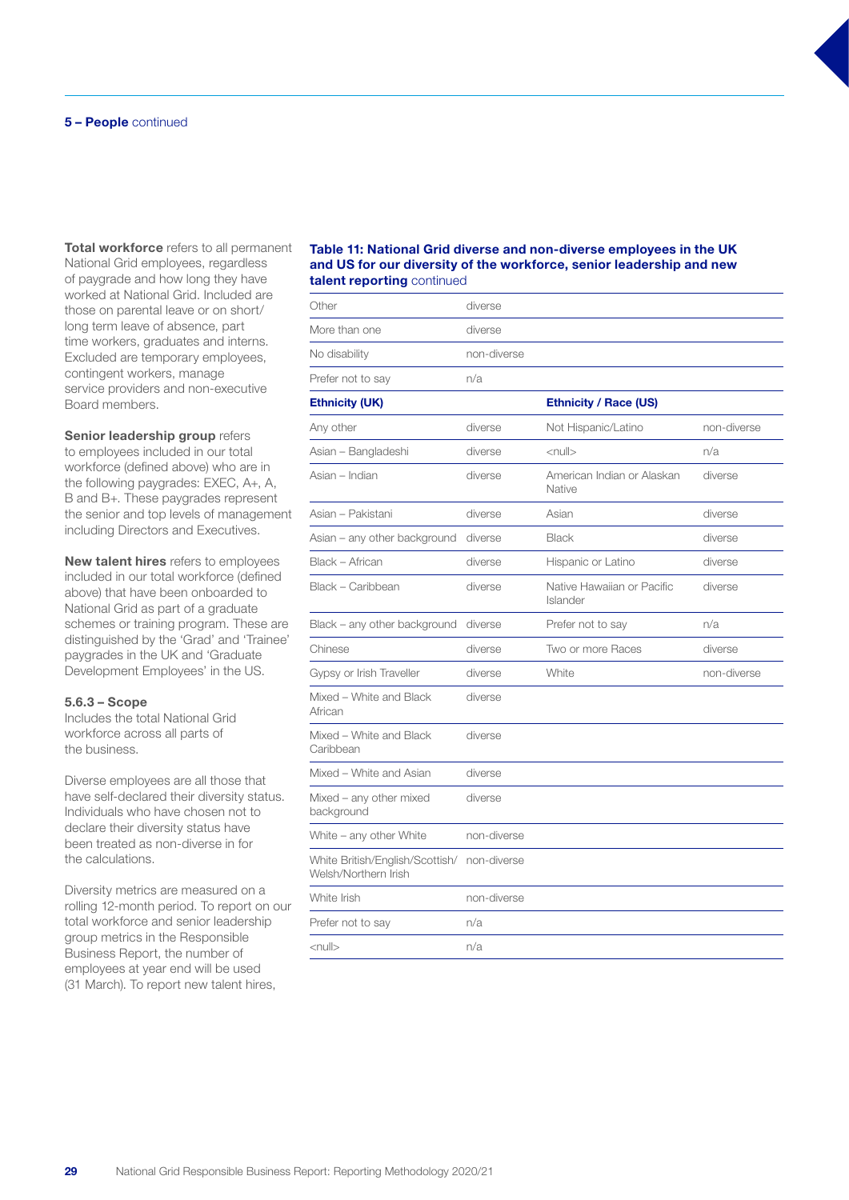Total workforce refers to all permanent National Grid employees, regardless of paygrade and how long they have worked at National Grid. Included are those on parental leave or on short/ long term leave of absence, part time workers, graduates and interns. Excluded are temporary employees, contingent workers, manage service providers and non-executive Board members.

Senior leadership group refers to employees included in our total workforce (defined above) who are in the following paygrades: EXEC, A+, A, B and B+. These paygrades represent the senior and top levels of management including Directors and Executives.

New talent hires refers to employees included in our total workforce (defined above) that have been onboarded to National Grid as part of a graduate schemes or training program. These are distinguished by the 'Grad' and 'Trainee' paygrades in the UK and 'Graduate Development Employees' in the US.

#### 5.6.3 – Scope

Includes the total National Grid workforce across all parts of the business.

Diverse employees are all those that have self-declared their diversity status. Individuals who have chosen not to declare their diversity status have been treated as non-diverse in for the calculations.

Diversity metrics are measured on a rolling 12-month period. To report on our total workforce and senior leadership group metrics in the Responsible Business Report, the number of employees at year end will be used (31 March). To report new talent hires,

#### Table 11: National Grid diverse and non-diverse employees in the UK and US for our diversity of the workforce, senior leadership and new talent reporting continued

| <b>COLORED CATEGORY CONTRIBUTIONS</b>                   |             |                                        |             |
|---------------------------------------------------------|-------------|----------------------------------------|-------------|
| Other                                                   | diverse     |                                        |             |
| More than one                                           | diverse     |                                        |             |
| No disability                                           | non-diverse |                                        |             |
| Prefer not to say                                       | n/a         |                                        |             |
| <b>Ethnicity (UK)</b>                                   |             | <b>Ethnicity / Race (US)</b>           |             |
| Any other                                               | diverse     | Not Hispanic/Latino                    | non-diverse |
| Asian - Bangladeshi                                     | diverse     | $<$ null $>$                           | n/a         |
| Asian – Indian                                          | diverse     | American Indian or Alaskan<br>Native   | diverse     |
| Asian – Pakistani                                       | diverse     | Asian                                  | diverse     |
| Asian - any other background                            | diverse     | <b>Black</b>                           | diverse     |
| Black - African                                         | diverse     | Hispanic or Latino                     | diverse     |
| Black - Caribbean                                       | diverse     | Native Hawaiian or Pacific<br>Islander | diverse     |
| Black - any other background                            | diverse     | Prefer not to say                      | n/a         |
| Chinese                                                 | diverse     | Two or more Races                      | diverse     |
| Gypsy or Irish Traveller                                | diverse     | White                                  | non-diverse |
| Mixed - White and Black<br>African                      | diverse     |                                        |             |
| Mixed - White and Black<br>Caribbean                    | diverse     |                                        |             |
| Mixed - White and Asian                                 | diverse     |                                        |             |
| Mixed - any other mixed<br>background                   | diverse     |                                        |             |
| White - any other White                                 | non-diverse |                                        |             |
| White British/English/Scottish/<br>Welsh/Northern Irish | non-diverse |                                        |             |
| White Irish                                             | non-diverse |                                        |             |
| Prefer not to say                                       | n/a         |                                        |             |
| $\le$ null $>$                                          | n/a         |                                        |             |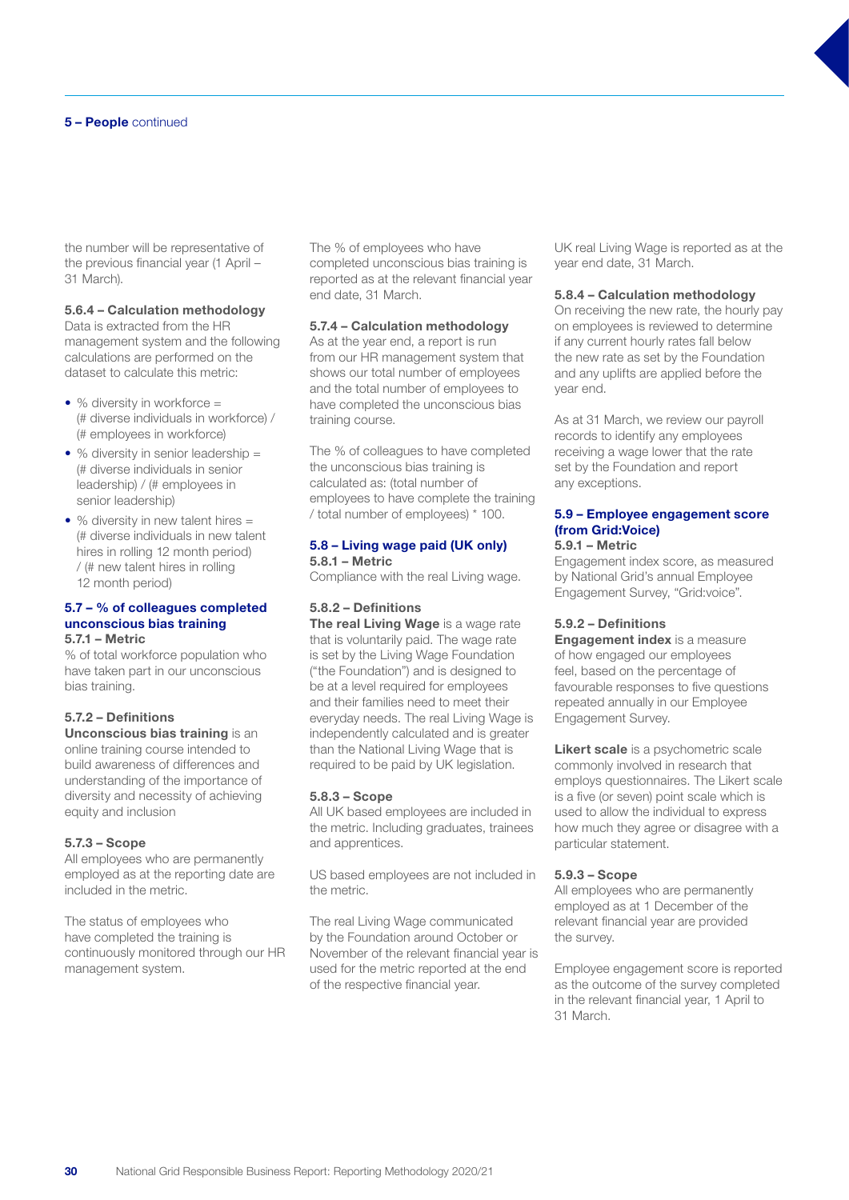the number will be representative of the previous financial year (1 April – 31 March).

## 5.6.4 – Calculation methodology

Data is extracted from the HR management system and the following calculations are performed on the dataset to calculate this metric:

- % diversity in workforce = (# diverse individuals in workforce) / (# employees in workforce)
- % diversity in senior leadership = (# diverse individuals in senior leadership) / (# employees in senior leadership)
- % diversity in new talent hires = (# diverse individuals in new talent hires in rolling 12 month period) / (# new talent hires in rolling 12 month period)

#### 5.7 – % of colleagues completed unconscious bias training 5.7.1 – Metric

% of total workforce population who have taken part in our unconscious bias training.

## 5.7.2 – Definitions

Unconscious bias training is an online training course intended to build awareness of differences and understanding of the importance of diversity and necessity of achieving equity and inclusion

#### 5.7.3 – Scope

All employees who are permanently employed as at the reporting date are included in the metric.

The status of employees who have completed the training is continuously monitored through our HR management system.

The % of employees who have completed unconscious bias training is reported as at the relevant financial year end date, 31 March.

#### 5.7.4 – Calculation methodology

As at the year end, a report is run from our HR management system that shows our total number of employees and the total number of employees to have completed the unconscious bias training course.

The % of colleagues to have completed the unconscious bias training is calculated as: (total number of employees to have complete the training / total number of employees) \* 100.

#### 5.8 – Living wage paid (UK only) 5.8.1 – Metric

Compliance with the real Living wage.

## 5.8.2 – Definitions

The real Living Wage is a wage rate that is voluntarily paid. The wage rate is set by the Living Wage Foundation ("the Foundation") and is designed to be at a level required for employees and their families need to meet their everyday needs. The real Living Wage is independently calculated and is greater than the National Living Wage that is required to be paid by UK legislation.

#### 5.8.3 – Scope

All UK based employees are included in the metric. Including graduates, trainees and apprentices.

US based employees are not included in the metric.

The real Living Wage communicated by the Foundation around October or November of the relevant financial year is used for the metric reported at the end of the respective financial year.

UK real Living Wage is reported as at the year end date, 31 March.

#### 5.8.4 – Calculation methodology

On receiving the new rate, the hourly pay on employees is reviewed to determine if any current hourly rates fall below the new rate as set by the Foundation and any uplifts are applied before the year end.

As at 31 March, we review our payroll records to identify any employees receiving a wage lower that the rate set by the Foundation and report any exceptions.

## 5.9 – Employee engagement score (from Grid:Voice)

## 5.9.1 – Metric

Engagement index score, as measured by National Grid's annual Employee Engagement Survey, "Grid:voice".

#### 5.9.2 – Definitions

**Engagement index** is a measure of how engaged our employees feel, based on the percentage of favourable responses to five questions repeated annually in our Employee Engagement Survey.

Likert scale is a psychometric scale commonly involved in research that employs questionnaires. The Likert scale is a five (or seven) point scale which is used to allow the individual to express how much they agree or disagree with a particular statement.

#### 5.9.3 – Scope

All employees who are permanently employed as at 1 December of the relevant financial year are provided the survey.

Employee engagement score is reported as the outcome of the survey completed in the relevant financial year, 1 April to 31 March.